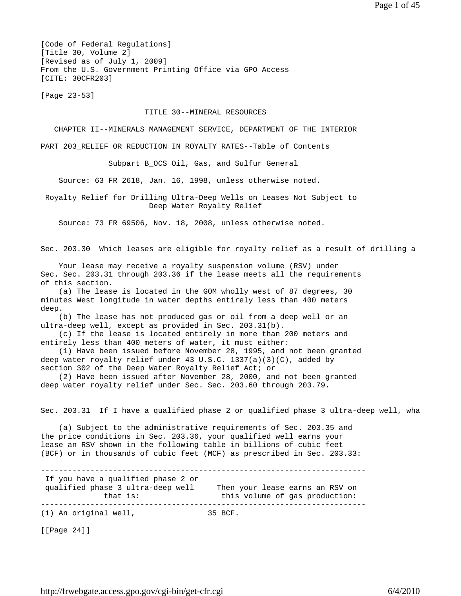[Code of Federal Regulations] [Title 30, Volume 2] [Revised as of July 1, 2009] From the U.S. Government Printing Office via GPO Access [CITE: 30CFR203]

[Page 23-53]

#### TITLE 30--MINERAL RESOURCES

CHAPTER II--MINERALS MANAGEMENT SERVICE, DEPARTMENT OF THE INTERIOR

PART 203 RELIEF OR REDUCTION IN ROYALTY RATES--Table of Contents

Subpart B\_OCS Oil, Gas, and Sulfur General

Source: 63 FR 2618, Jan. 16, 1998, unless otherwise noted.

 Royalty Relief for Drilling Ultra-Deep Wells on Leases Not Subject to Deep Water Royalty Relief

Source: 73 FR 69506, Nov. 18, 2008, unless otherwise noted.

Sec. 203.30 Which leases are eligible for royalty relief as a result of drilling a

 Your lease may receive a royalty suspension volume (RSV) under Sec. Sec. 203.31 through 203.36 if the lease meets all the requirements of this section.

 (a) The lease is located in the GOM wholly west of 87 degrees, 30 minutes West longitude in water depths entirely less than 400 meters deep.

 (b) The lease has not produced gas or oil from a deep well or an ultra-deep well, except as provided in Sec. 203.31(b).

 (c) If the lease is located entirely in more than 200 meters and entirely less than 400 meters of water, it must either:

 (1) Have been issued before November 28, 1995, and not been granted deep water royalty relief under 43 U.S.C. 1337(a)(3)(C), added by section 302 of the Deep Water Royalty Relief Act; or

 (2) Have been issued after November 28, 2000, and not been granted deep water royalty relief under Sec. Sec. 203.60 through 203.79.

Sec. 203.31 If I have a qualified phase 2 or qualified phase 3 ultra-deep well, wha

 (a) Subject to the administrative requirements of Sec. 203.35 and the price conditions in Sec. 203.36, your qualified well earns your lease an RSV shown in the following table in billions of cubic feet (BCF) or in thousands of cubic feet (MCF) as prescribed in Sec. 203.33:

------------------------------------------------------------------------ If you have a qualified phase 2 or qualified phase 3 ultra-deep well Then your lease earns an RSV on<br>this yolume of gas production: that is:  $\qquad \qquad$  this volume of gas production: ------------------------------------------------------------------------ (1) An original well, 35 BCF.

[[Page 24]]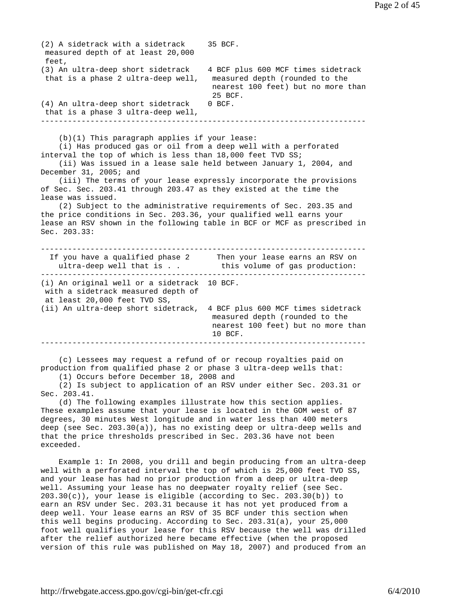(3) An ultra-deep short sidetrack 4 BCF plus 600 MCF times sidetrack that is a phase 2 ultra-deep well, measured depth (rounded to the nearest 100 feet) but no more than 25 BCF. (4) An ultra-deep short sidetrack 0 BCF. that is a phase 3 ultra-deep well, ------------------------------------------------------------------------ (b)(1) This paragraph applies if your lease: (i) Has produced gas or oil from a deep well with a perforated interval the top of which is less than 18,000 feet TVD SS; (ii) Was issued in a lease sale held between January 1, 2004, and December 31, 2005; and (iii) The terms of your lease expressly incorporate the provisions of Sec. Sec. 203.41 through 203.47 as they existed at the time the lease was issued. (2) Subject to the administrative requirements of Sec. 203.35 and the price conditions in Sec. 203.36, your qualified well earns your lease an RSV shown in the following table in BCF or MCF as prescribed in Sec. 203.33: ------------------------------------------------------------------------ If you have a qualified phase 2 Then your lease earns an RSV on ultra-deep well that is . . this volume of gas production: ------------------------------------------------------------------------ (i) An original well or a sidetrack 10 BCF. with a sidetrack measured depth of at least 20,000 feet TVD SS, (ii) An ultra-deep short sidetrack, 4 BCF plus 600 MCF times sidetrack measured depth (rounded to the nearest 100 feet) but no more than 10 BCF. ------------------------------------------------------------------------ (c) Lessees may request a refund of or recoup royalties paid on production from qualified phase 2 or phase 3 ultra-deep wells that: (1) Occurs before December 18, 2008 and (2) Is subject to application of an RSV under either Sec. 203.31 or Sec. 203.41. (d) The following examples illustrate how this section applies. These examples assume that your lease is located in the GOM west of 87 degrees, 30 minutes West longitude and in water less than 400 meters deep (see Sec. 203.30(a)), has no existing deep or ultra-deep wells and that the price thresholds prescribed in Sec. 203.36 have not been exceeded. Example 1: In 2008, you drill and begin producing from an ultra-deep well with a perforated interval the top of which is 25,000 feet TVD SS, and your lease has had no prior production from a deep or ultra-deep well. Assuming your lease has no deepwater royalty relief (see Sec.  $203.30(c)$ , your lease is eligible (according to Sec. 203.30(b)) to earn an RSV under Sec. 203.31 because it has not yet produced from a deep well. Your lease earns an RSV of 35 BCF under this section when this well begins producing. According to Sec. 203.31(a), your 25,000 foot well qualifies your lease for this RSV because the well was drilled after the relief authorized here became effective (when the proposed version of this rule was published on May 18, 2007) and produced from an

(2) A sidetrack with a sidetrack 35 BCF.

measured depth of at least 20,000

feet,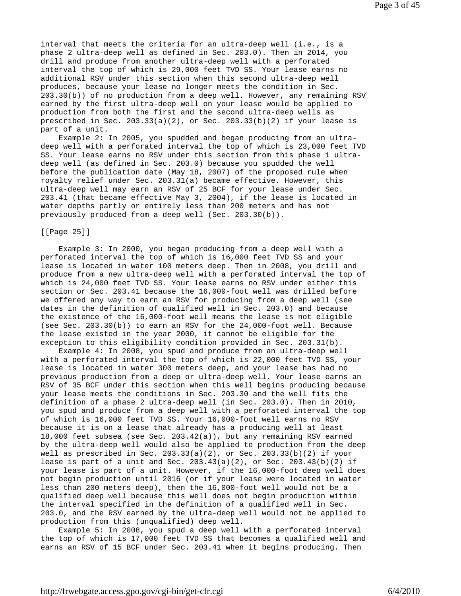interval that meets the criteria for an ultra-deep well (i.e., is a phase 2 ultra-deep well as defined in Sec. 203.0). Then in 2014, you drill and produce from another ultra-deep well with a perforated interval the top of which is 29,000 feet TVD SS. Your lease earns no additional RSV under this section when this second ultra-deep well produces, because your lease no longer meets the condition in Sec. 203.30(b)) of no production from a deep well. However, any remaining RSV earned by the first ultra-deep well on your lease would be applied to production from both the first and the second ultra-deep wells as prescribed in Sec. 203.33(a)(2), or Sec. 203.33(b)(2) if your lease is part of a unit.

 Example 2: In 2005, you spudded and began producing from an ultradeep well with a perforated interval the top of which is 23,000 feet TVD SS. Your lease earns no RSV under this section from this phase 1 ultradeep well (as defined in Sec. 203.0) because you spudded the well before the publication date (May 18, 2007) of the proposed rule when royalty relief under Sec. 203.31(a) became effective. However, this ultra-deep well may earn an RSV of 25 BCF for your lease under Sec. 203.41 (that became effective May 3, 2004), if the lease is located in water depths partly or entirely less than 200 meters and has not previously produced from a deep well (Sec. 203.30(b)).

### [[Page 25]]

 Example 3: In 2000, you began producing from a deep well with a perforated interval the top of which is 16,000 feet TVD SS and your lease is located in water 100 meters deep. Then in 2008, you drill and produce from a new ultra-deep well with a perforated interval the top of which is 24,000 feet TVD SS. Your lease earns no RSV under either this section or Sec. 203.41 because the 16,000-foot well was drilled before we offered any way to earn an RSV for producing from a deep well (see dates in the definition of qualified well in Sec. 203.0) and because the existence of the 16,000-foot well means the lease is not eligible (see Sec. 203.30(b)) to earn an RSV for the 24,000-foot well. Because the lease existed in the year 2000, it cannot be eligible for the exception to this eligibility condition provided in Sec. 203.31(b).

 Example 4: In 2008, you spud and produce from an ultra-deep well with a perforated interval the top of which is 22,000 feet TVD SS, your lease is located in water 300 meters deep, and your lease has had no previous production from a deep or ultra-deep well. Your lease earns an RSV of 35 BCF under this section when this well begins producing because your lease meets the conditions in Sec. 203.30 and the well fits the definition of a phase 2 ultra-deep well (in Sec. 203.0). Then in 2010, you spud and produce from a deep well with a perforated interval the top of which is 16,000 feet TVD SS. Your 16,000-foot well earns no RSV because it is on a lease that already has a producing well at least 18,000 feet subsea (see Sec. 203.42(a)), but any remaining RSV earned by the ultra-deep well would also be applied to production from the deep well as prescribed in Sec.  $203.33(a)(2)$ , or Sec.  $203.33(b)(2)$  if your lease is part of a unit and Sec.  $203.43(a)(2)$ , or Sec.  $203.43(b)(2)$  if your lease is part of a unit. However, if the 16,000-foot deep well does not begin production until 2016 (or if your lease were located in water less than 200 meters deep), then the 16,000-foot well would not be a qualified deep well because this well does not begin production within the interval specified in the definition of a qualified well in Sec. 203.0, and the RSV earned by the ultra-deep well would not be applied to production from this (unqualified) deep well.

 Example 5: In 2008, you spud a deep well with a perforated interval the top of which is 17,000 feet TVD SS that becomes a qualified well and earns an RSV of 15 BCF under Sec. 203.41 when it begins producing. Then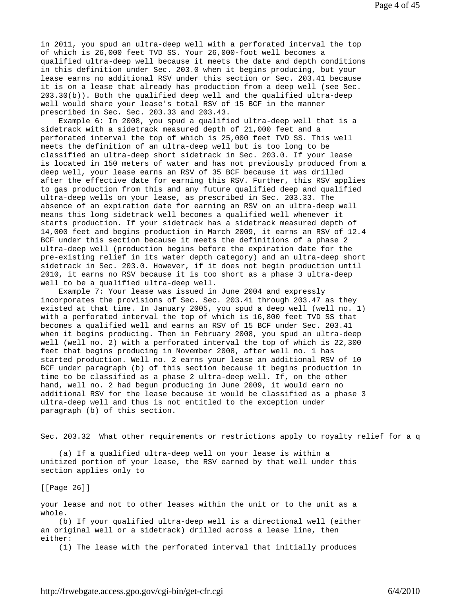in 2011, you spud an ultra-deep well with a perforated interval the top of which is 26,000 feet TVD SS. Your 26,000-foot well becomes a qualified ultra-deep well because it meets the date and depth conditions in this definition under Sec. 203.0 when it begins producing, but your lease earns no additional RSV under this section or Sec. 203.41 because it is on a lease that already has production from a deep well (see Sec. 203.30(b)). Both the qualified deep well and the qualified ultra-deep well would share your lease's total RSV of 15 BCF in the manner prescribed in Sec. Sec. 203.33 and 203.43.

 Example 6: In 2008, you spud a qualified ultra-deep well that is a sidetrack with a sidetrack measured depth of 21,000 feet and a perforated interval the top of which is 25,000 feet TVD SS. This well meets the definition of an ultra-deep well but is too long to be classified an ultra-deep short sidetrack in Sec. 203.0. If your lease is located in 150 meters of water and has not previously produced from a deep well, your lease earns an RSV of 35 BCF because it was drilled after the effective date for earning this RSV. Further, this RSV applies to gas production from this and any future qualified deep and qualified ultra-deep wells on your lease, as prescribed in Sec. 203.33. The absence of an expiration date for earning an RSV on an ultra-deep well means this long sidetrack well becomes a qualified well whenever it starts production. If your sidetrack has a sidetrack measured depth of 14,000 feet and begins production in March 2009, it earns an RSV of 12.4 BCF under this section because it meets the definitions of a phase 2 ultra-deep well (production begins before the expiration date for the pre-existing relief in its water depth category) and an ultra-deep short sidetrack in Sec. 203.0. However, if it does not begin production until 2010, it earns no RSV because it is too short as a phase 3 ultra-deep well to be a qualified ultra-deep well.

 Example 7: Your lease was issued in June 2004 and expressly incorporates the provisions of Sec. Sec. 203.41 through 203.47 as they existed at that time. In January 2005, you spud a deep well (well no. 1) with a perforated interval the top of which is 16,800 feet TVD SS that becomes a qualified well and earns an RSV of 15 BCF under Sec. 203.41 when it begins producing. Then in February 2008, you spud an ultra-deep well (well no. 2) with a perforated interval the top of which is 22,300 feet that begins producing in November 2008, after well no. 1 has started production. Well no. 2 earns your lease an additional RSV of 10 BCF under paragraph (b) of this section because it begins production in time to be classified as a phase 2 ultra-deep well. If, on the other hand, well no. 2 had begun producing in June 2009, it would earn no additional RSV for the lease because it would be classified as a phase 3 ultra-deep well and thus is not entitled to the exception under paragraph (b) of this section.

Sec. 203.32 What other requirements or restrictions apply to royalty relief for a q

 (a) If a qualified ultra-deep well on your lease is within a unitized portion of your lease, the RSV earned by that well under this section applies only to

[[Page 26]]

your lease and not to other leases within the unit or to the unit as a whole.

 (b) If your qualified ultra-deep well is a directional well (either an original well or a sidetrack) drilled across a lease line, then either:

(1) The lease with the perforated interval that initially produces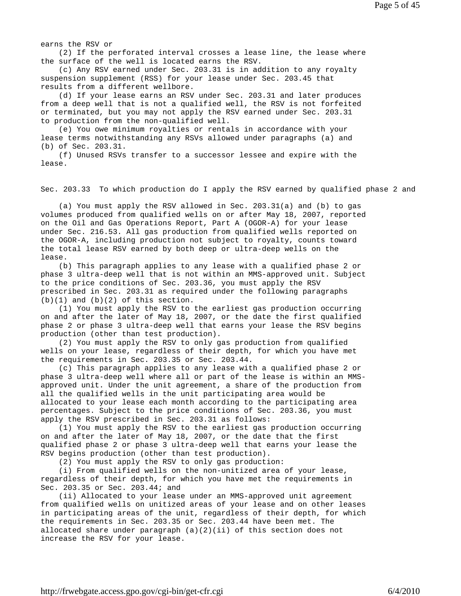earns the RSV or

 (2) If the perforated interval crosses a lease line, the lease where the surface of the well is located earns the RSV.

 (c) Any RSV earned under Sec. 203.31 is in addition to any royalty suspension supplement (RSS) for your lease under Sec. 203.45 that results from a different wellbore.

 (d) If your lease earns an RSV under Sec. 203.31 and later produces from a deep well that is not a qualified well, the RSV is not forfeited or terminated, but you may not apply the RSV earned under Sec. 203.31 to production from the non-qualified well.

 (e) You owe minimum royalties or rentals in accordance with your lease terms notwithstanding any RSVs allowed under paragraphs (a) and (b) of Sec. 203.31.

 (f) Unused RSVs transfer to a successor lessee and expire with the lease.

Sec. 203.33 To which production do I apply the RSV earned by qualified phase 2 and

 (a) You must apply the RSV allowed in Sec. 203.31(a) and (b) to gas volumes produced from qualified wells on or after May 18, 2007, reported on the Oil and Gas Operations Report, Part A (OGOR-A) for your lease under Sec. 216.53. All gas production from qualified wells reported on the OGOR-A, including production not subject to royalty, counts toward the total lease RSV earned by both deep or ultra-deep wells on the lease.

 (b) This paragraph applies to any lease with a qualified phase 2 or phase 3 ultra-deep well that is not within an MMS-approved unit. Subject to the price conditions of Sec. 203.36, you must apply the RSV prescribed in Sec. 203.31 as required under the following paragraphs  $(b)(1)$  and  $(b)(2)$  of this section.

 (1) You must apply the RSV to the earliest gas production occurring on and after the later of May 18, 2007, or the date the first qualified phase 2 or phase 3 ultra-deep well that earns your lease the RSV begins production (other than test production).

 (2) You must apply the RSV to only gas production from qualified wells on your lease, regardless of their depth, for which you have met the requirements in Sec. 203.35 or Sec. 203.44.

 (c) This paragraph applies to any lease with a qualified phase 2 or phase 3 ultra-deep well where all or part of the lease is within an MMSapproved unit. Under the unit agreement, a share of the production from all the qualified wells in the unit participating area would be allocated to your lease each month according to the participating area percentages. Subject to the price conditions of Sec. 203.36, you must apply the RSV prescribed in Sec. 203.31 as follows:

 (1) You must apply the RSV to the earliest gas production occurring on and after the later of May 18, 2007, or the date that the first qualified phase 2 or phase 3 ultra-deep well that earns your lease the RSV begins production (other than test production).

(2) You must apply the RSV to only gas production:

 (i) From qualified wells on the non-unitized area of your lease, regardless of their depth, for which you have met the requirements in Sec. 203.35 or Sec. 203.44; and

 (ii) Allocated to your lease under an MMS-approved unit agreement from qualified wells on unitized areas of your lease and on other leases in participating areas of the unit, regardless of their depth, for which the requirements in Sec. 203.35 or Sec. 203.44 have been met. The allocated share under paragraph  $(a)(2)(ii)$  of this section does not increase the RSV for your lease.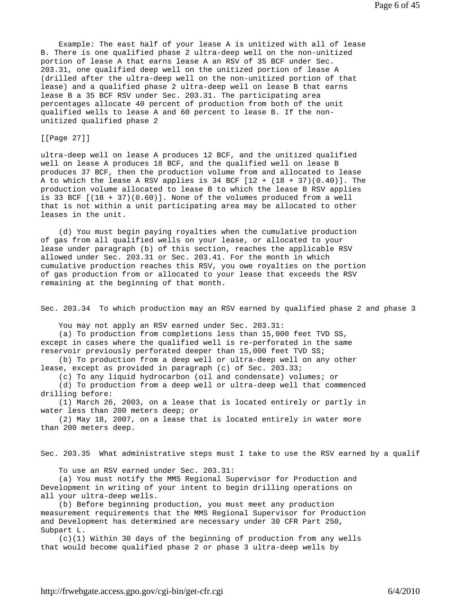Example: The east half of your lease A is unitized with all of lease B. There is one qualified phase 2 ultra-deep well on the non-unitized portion of lease A that earns lease A an RSV of 35 BCF under Sec. 203.31, one qualified deep well on the unitized portion of lease A (drilled after the ultra-deep well on the non-unitized portion of that lease) and a qualified phase 2 ultra-deep well on lease B that earns lease B a 35 BCF RSV under Sec. 203.31. The participating area percentages allocate 40 percent of production from both of the unit qualified wells to lease A and 60 percent to lease B. If the nonunitized qualified phase 2

## [[Page 27]]

ultra-deep well on lease A produces 12 BCF, and the unitized qualified well on lease A produces 18 BCF, and the qualified well on lease B produces 37 BCF, then the production volume from and allocated to lease A to which the lease A RSV applies is  $34$  BCF  $[12 + (18 + 37)(0.40)]$ . The production volume allocated to lease B to which the lease B RSV applies is 33 BCF  $[(18 + 37)(0.60)]$ . None of the volumes produced from a well that is not within a unit participating area may be allocated to other leases in the unit.

 (d) You must begin paying royalties when the cumulative production of gas from all qualified wells on your lease, or allocated to your lease under paragraph (b) of this section, reaches the applicable RSV allowed under Sec. 203.31 or Sec. 203.41. For the month in which cumulative production reaches this RSV, you owe royalties on the portion of gas production from or allocated to your lease that exceeds the RSV remaining at the beginning of that month.

Sec. 203.34 To which production may an RSV earned by qualified phase 2 and phase 3

You may not apply an RSV earned under Sec. 203.31:

 (a) To production from completions less than 15,000 feet TVD SS, except in cases where the qualified well is re-perforated in the same reservoir previously perforated deeper than 15,000 feet TVD SS;

 (b) To production from a deep well or ultra-deep well on any other lease, except as provided in paragraph (c) of Sec. 203.33;

(c) To any liquid hydrocarbon (oil and condensate) volumes; or

 (d) To production from a deep well or ultra-deep well that commenced drilling before:

 (1) March 26, 2003, on a lease that is located entirely or partly in water less than 200 meters deep; or

 (2) May 18, 2007, on a lease that is located entirely in water more than 200 meters deep.

Sec. 203.35 What administrative steps must I take to use the RSV earned by a qualif

To use an RSV earned under Sec. 203.31:

 (a) You must notify the MMS Regional Supervisor for Production and Development in writing of your intent to begin drilling operations on all your ultra-deep wells.

 (b) Before beginning production, you must meet any production measurement requirements that the MMS Regional Supervisor for Production and Development has determined are necessary under 30 CFR Part 250, Subpart L.

 (c)(1) Within 30 days of the beginning of production from any wells that would become qualified phase 2 or phase 3 ultra-deep wells by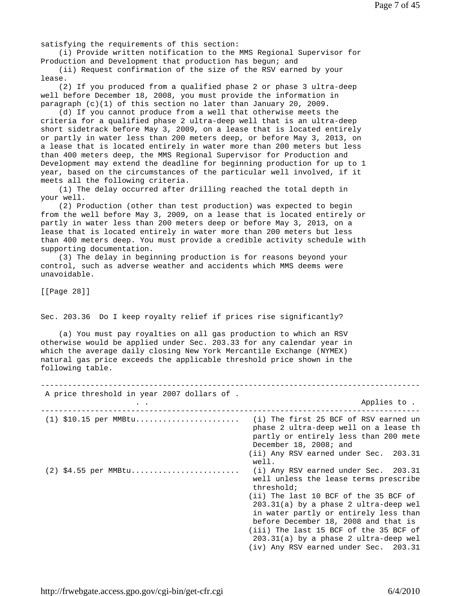satisfying the requirements of this section:

 (i) Provide written notification to the MMS Regional Supervisor for Production and Development that production has begun; and

 (ii) Request confirmation of the size of the RSV earned by your lease.

 (2) If you produced from a qualified phase 2 or phase 3 ultra-deep well before December 18, 2008, you must provide the information in paragraph  $(c)(1)$  of this section no later than January 20, 2009.

 (d) If you cannot produce from a well that otherwise meets the criteria for a qualified phase 2 ultra-deep well that is an ultra-deep short sidetrack before May 3, 2009, on a lease that is located entirely or partly in water less than 200 meters deep, or before May 3, 2013, on a lease that is located entirely in water more than 200 meters but less than 400 meters deep, the MMS Regional Supervisor for Production and Development may extend the deadline for beginning production for up to 1 year, based on the circumstances of the particular well involved, if it meets all the following criteria.

 (1) The delay occurred after drilling reached the total depth in your well.

 (2) Production (other than test production) was expected to begin from the well before May 3, 2009, on a lease that is located entirely or partly in water less than 200 meters deep or before May 3, 2013, on a lease that is located entirely in water more than 200 meters but less than 400 meters deep. You must provide a credible activity schedule with supporting documentation.

 (3) The delay in beginning production is for reasons beyond your control, such as adverse weather and accidents which MMS deems were unavoidable.

[[Page 28]]

Sec. 203.36 Do I keep royalty relief if prices rise significantly?

 (a) You must pay royalties on all gas production to which an RSV otherwise would be applied under Sec. 203.33 for any calendar year in which the average daily closing New York Mercantile Exchange (NYMEX) natural gas price exceeds the applicable threshold price shown in the following table.

| A price threshold in year 2007 dollars of . |                                                                                                                                                                                                                                                                                                 |
|---------------------------------------------|-------------------------------------------------------------------------------------------------------------------------------------------------------------------------------------------------------------------------------------------------------------------------------------------------|
|                                             | Applies to .                                                                                                                                                                                                                                                                                    |
| $(1)$ \$10.15 per MMBtu                     | (i) The first 25 BCF of RSV earned un<br>phase 2 ultra-deep well on a lease th<br>partly or entirely less than 200 mete<br>December 18, 2008; and<br>(ii) Any RSV earned under Sec. 203.31                                                                                                      |
| $(2)$ \$4.55 per MMBtu                      | well.<br>$(i)$ Any RSV earned under Sec. 203.31<br>well unless the lease terms prescribe<br>threshold;                                                                                                                                                                                          |
|                                             | (ii) The last 10 BCF of the 35 BCF of<br>$203.31(a)$ by a phase 2 ultra-deep wel<br>in water partly or entirely less than<br>before December 18, 2008 and that is<br>(iii) The last 15 BCF of the 35 BCF of<br>$203.31(a)$ by a phase 2 ultra-deep wel<br>(iv) Any RSV earned under Sec. 203.31 |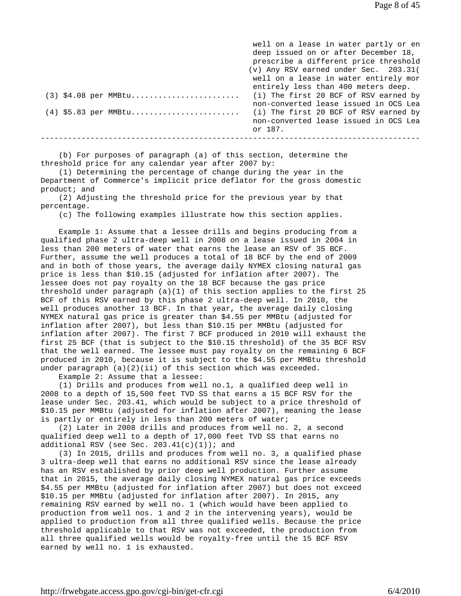well on a lease in water partly or en deep issued on or after December 18, prescribe a different price threshold (v) Any RSV earned under Sec. 203.31( well on a lease in water entirely mor entirely less than 400 meters deep. (3) \$4.08 per MMBtu........................ (i) The first 20 BCF of RSV earned by non-converted lease issued in OCS Lea (4) \$5.83 per MMBtu........................ (i) The first 20 BCF of RSV earned by non-converted lease issued in OCS Lea or 187. ------------------------------------------------------------------------------------

 (b) For purposes of paragraph (a) of this section, determine the threshold price for any calendar year after 2007 by:

 (1) Determining the percentage of change during the year in the Department of Commerce's implicit price deflator for the gross domestic product; and

 (2) Adjusting the threshold price for the previous year by that percentage.

(c) The following examples illustrate how this section applies.

 Example 1: Assume that a lessee drills and begins producing from a qualified phase 2 ultra-deep well in 2008 on a lease issued in 2004 in less than 200 meters of water that earns the lease an RSV of 35 BCF. Further, assume the well produces a total of 18 BCF by the end of 2009 and in both of those years, the average daily NYMEX closing natural gas price is less than \$10.15 (adjusted for inflation after 2007). The lessee does not pay royalty on the 18 BCF because the gas price threshold under paragraph (a)(1) of this section applies to the first 25 BCF of this RSV earned by this phase 2 ultra-deep well. In 2010, the well produces another 13 BCF. In that year, the average daily closing NYMEX natural gas price is greater than \$4.55 per MMBtu (adjusted for inflation after 2007), but less than \$10.15 per MMBtu (adjusted for inflation after 2007). The first 7 BCF produced in 2010 will exhaust the first 25 BCF (that is subject to the \$10.15 threshold) of the 35 BCF RSV that the well earned. The lessee must pay royalty on the remaining 6 BCF produced in 2010, because it is subject to the \$4.55 per MMBtu threshold under paragraph (a)(2)(ii) of this section which was exceeded.

Example 2: Assume that a lessee:

 (1) Drills and produces from well no.1, a qualified deep well in 2008 to a depth of 15,500 feet TVD SS that earns a 15 BCF RSV for the lease under Sec. 203.41, which would be subject to a price threshold of \$10.15 per MMBtu (adjusted for inflation after 2007), meaning the lease is partly or entirely in less than 200 meters of water;

 (2) Later in 2008 drills and produces from well no. 2, a second qualified deep well to a depth of 17,000 feet TVD SS that earns no additional RSV (see Sec.  $203.41(c)(1)$ ); and

 (3) In 2015, drills and produces from well no. 3, a qualified phase 3 ultra-deep well that earns no additional RSV since the lease already has an RSV established by prior deep well production. Further assume that in 2015, the average daily closing NYMEX natural gas price exceeds \$4.55 per MMBtu (adjusted for inflation after 2007) but does not exceed \$10.15 per MMBtu (adjusted for inflation after 2007). In 2015, any remaining RSV earned by well no. 1 (which would have been applied to production from well nos. 1 and 2 in the intervening years), would be applied to production from all three qualified wells. Because the price threshold applicable to that RSV was not exceeded, the production from all three qualified wells would be royalty-free until the 15 BCF RSV earned by well no. 1 is exhausted.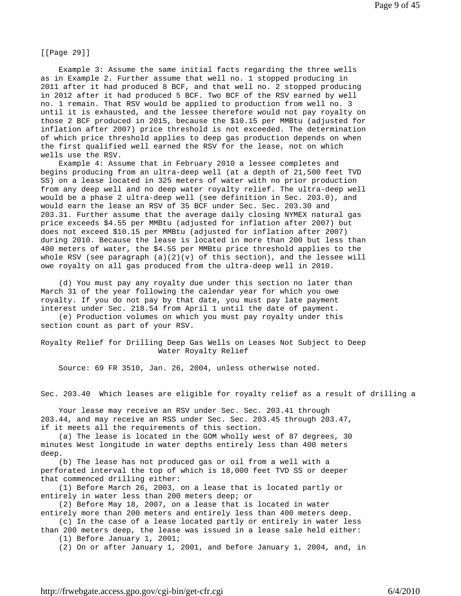[[Page 29]]

 Example 3: Assume the same initial facts regarding the three wells as in Example 2. Further assume that well no. 1 stopped producing in 2011 after it had produced 8 BCF, and that well no. 2 stopped producing in 2012 after it had produced 5 BCF. Two BCF of the RSV earned by well no. 1 remain. That RSV would be applied to production from well no. 3 until it is exhausted, and the lessee therefore would not pay royalty on those 2 BCF produced in 2015, because the \$10.15 per MMBtu (adjusted for inflation after 2007) price threshold is not exceeded. The determination of which price threshold applies to deep gas production depends on when the first qualified well earned the RSV for the lease, not on which wells use the RSV.

 Example 4: Assume that in February 2010 a lessee completes and begins producing from an ultra-deep well (at a depth of 21,500 feet TVD SS) on a lease located in 325 meters of water with no prior production from any deep well and no deep water royalty relief. The ultra-deep well would be a phase 2 ultra-deep well (see definition in Sec. 203.0), and would earn the lease an RSV of 35 BCF under Sec. Sec. 203.30 and 203.31. Further assume that the average daily closing NYMEX natural gas price exceeds \$4.55 per MMBtu (adjusted for inflation after 2007) but does not exceed \$10.15 per MMBtu (adjusted for inflation after 2007) during 2010. Because the lease is located in more than 200 but less than 400 meters of water, the \$4.55 per MMBtu price threshold applies to the whole RSV (see paragraph  $(a)(2)(v)$  of this section), and the lessee will owe royalty on all gas produced from the ultra-deep well in 2010.

 (d) You must pay any royalty due under this section no later than March 31 of the year following the calendar year for which you owe royalty. If you do not pay by that date, you must pay late payment interest under Sec. 218.54 from April 1 until the date of payment.

 (e) Production volumes on which you must pay royalty under this section count as part of your RSV.

Royalty Relief for Drilling Deep Gas Wells on Leases Not Subject to Deep Water Royalty Relief

Source: 69 FR 3510, Jan. 26, 2004, unless otherwise noted.

Sec. 203.40 Which leases are eligible for royalty relief as a result of drilling a

 Your lease may receive an RSV under Sec. Sec. 203.41 through 203.44, and may receive an RSS under Sec. Sec. 203.45 through 203.47, if it meets all the requirements of this section.

 (a) The lease is located in the GOM wholly west of 87 degrees, 30 minutes West longitude in water depths entirely less than 400 meters deep.

 (b) The lease has not produced gas or oil from a well with a perforated interval the top of which is 18,000 feet TVD SS or deeper that commenced drilling either:

 (1) Before March 26, 2003, on a lease that is located partly or entirely in water less than 200 meters deep; or

 (2) Before May 18, 2007, on a lease that is located in water entirely more than 200 meters and entirely less than 400 meters deep.

 (c) In the case of a lease located partly or entirely in water less than 200 meters deep, the lease was issued in a lease sale held either:

(1) Before January 1, 2001;

(2) On or after January 1, 2001, and before January 1, 2004, and, in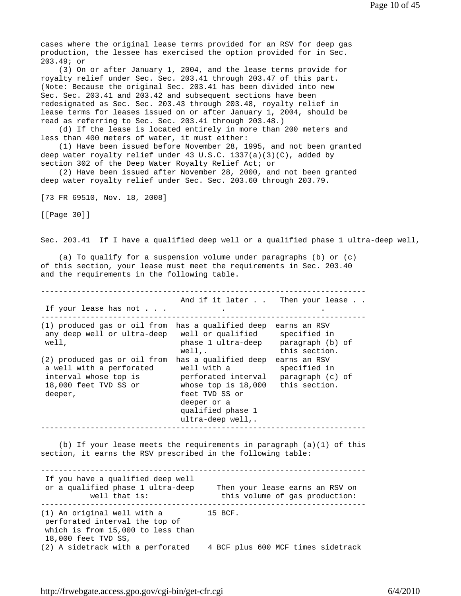cases where the original lease terms provided for an RSV for deep gas production, the lessee has exercised the option provided for in Sec. 203.49; or

 (3) On or after January 1, 2004, and the lease terms provide for royalty relief under Sec. Sec. 203.41 through 203.47 of this part. (Note: Because the original Sec. 203.41 has been divided into new Sec. Sec. 203.41 and 203.42 and subsequent sections have been redesignated as Sec. Sec. 203.43 through 203.48, royalty relief in lease terms for leases issued on or after January 1, 2004, should be read as referring to Sec. Sec. 203.41 through 203.48.)

 (d) If the lease is located entirely in more than 200 meters and less than 400 meters of water, it must either:

 (1) Have been issued before November 28, 1995, and not been granted deep water royalty relief under 43 U.S.C. 1337(a)(3)(C), added by section 302 of the Deep Water Royalty Relief Act; or

 (2) Have been issued after November 28, 2000, and not been granted deep water royalty relief under Sec. Sec. 203.60 through 203.79.

[73 FR 69510, Nov. 18, 2008]

[[Page 30]]

Sec. 203.41 If I have a qualified deep well or a qualified phase 1 ultra-deep well,

 (a) To qualify for a suspension volume under paragraphs (b) or (c) of this section, your lease must meet the requirements in Sec. 203.40 and the requirements in the following table.

------------------------------------------------------------------------ And if it later . . Then your lease . . If your lease has not . . . . . ------------------------------------------------------------------------ (1) produced gas or oil from has a qualified deep earns an RSV any deep well or ultra-deep well or qualified specified in well, phase 1 ultra-deep paragraph (b) of well,. this section. (2) produced gas or oil from has a qualified deep earns an RSV a well with a perforated well with a specified in interval whose top is perforated interval paragraph (c) of 18,000 feet TVD SS or whose top is 18,000 this section. deeper, the feet TVD SS or deeper or a qualified phase 1 ultra-deep well,. ------------------------------------------------------------------------

(b) If your lease meets the requirements in paragraph  $(a)(1)$  of this section, it earns the RSV prescribed in the following table:

------------------------------------------------------------------------ If you have a qualified deep well or a qualified phase 1 ultra-deep Then your lease earns an RSV on well that is: this volume of gas production: ------------------------------------------------------------------------ (1) An original well with a 15 BCF. perforated interval the top of which is from 15,000 to less than 18,000 feet TVD SS, (2) A sidetrack with a perforated 4 BCF plus 600 MCF times sidetrack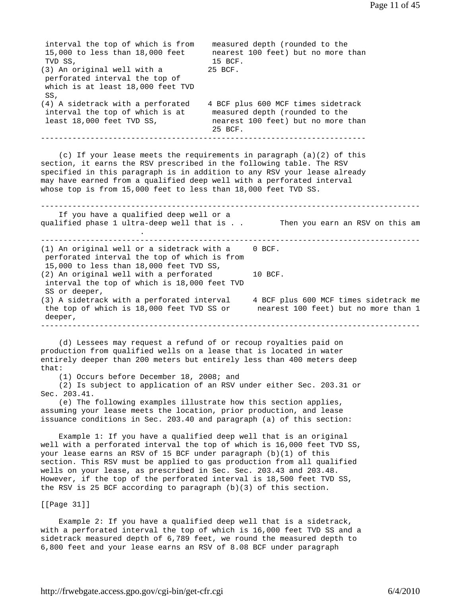interval the top of which is from measured depth (rounded to the 15,000 to less than 18,000 feet nearest 100 feet) but no more than TVD SS, 15 BCF. (3) An original well with a 25 BCF. perforated interval the top of which is at least 18,000 feet TVD SS, (4) A sidetrack with a perforated 4 BCF plus 600 MCF times sidetrack interval the top of which is at measured depth (rounded to the least 18,000 feet TVD SS, hearest 100 feet) but no more than 25 BCF. ------------------------------------------------------------------------ (c) If your lease meets the requirements in paragraph (a)(2) of this section, it earns the RSV prescribed in the following table. The RSV specified in this paragraph is in addition to any RSV your lease already may have earned from a qualified deep well with a perforated interval whose top is from 15,000 feet to less than 18,000 feet TVD SS. ------------------------------------------------------------------------------------ If you have a qualified deep well or a qualified phase 1 ultra-deep well that is . . Then you earn an RSV on this am **.** The contract of the contract of the contract of ------------------------------------------------------------------------------------ (1) An original well or a sidetrack with a 0 BCF. perforated interval the top of which is from 15,000 to less than 18,000 feet TVD SS, (2) An original well with a perforated 10 BCF. interval the top of which is 18,000 feet TVD SS or deeper, (3) A sidetrack with a perforated interval 4 BCF plus 600 MCF times sidetrack me the top of which is 18,000 feet TVD SS or nearest 100 feet) but no more than 1 deeper, ------------------------------------------------------------------------------------ (d) Lessees may request a refund of or recoup royalties paid on production from qualified wells on a lease that is located in water entirely deeper than 200 meters but entirely less than 400 meters deep that: (1) Occurs before December 18, 2008; and (2) Is subject to application of an RSV under either Sec. 203.31 or Sec. 203.41. (e) The following examples illustrate how this section applies, assuming your lease meets the location, prior production, and lease issuance conditions in Sec. 203.40 and paragraph (a) of this section: Example 1: If you have a qualified deep well that is an original well with a perforated interval the top of which is 16,000 feet TVD SS, your lease earns an RSV of 15 BCF under paragraph (b)(1) of this section. This RSV must be applied to gas production from all qualified wells on your lease, as prescribed in Sec. Sec. 203.43 and 203.48. However, if the top of the perforated interval is 18,500 feet TVD SS, the RSV is 25 BCF according to paragraph (b)(3) of this section. [[Page 31]] Example 2: If you have a qualified deep well that is a sidetrack, with a perforated interval the top of which is 16,000 feet TVD SS and a

sidetrack measured depth of 6,789 feet, we round the measured depth to 6,800 feet and your lease earns an RSV of 8.08 BCF under paragraph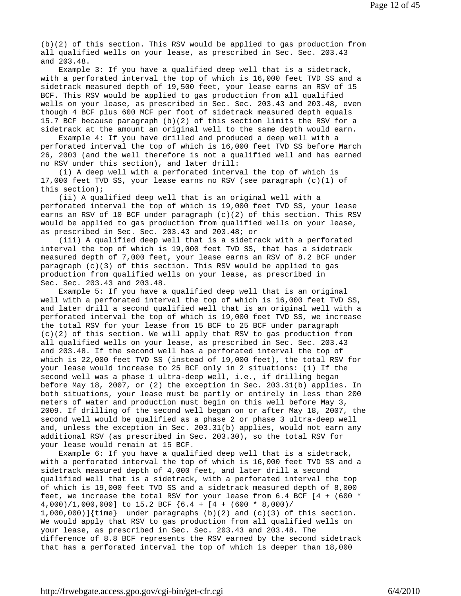(b)(2) of this section. This RSV would be applied to gas production from all qualified wells on your lease, as prescribed in Sec. Sec. 203.43 and 203.48.

 Example 3: If you have a qualified deep well that is a sidetrack, with a perforated interval the top of which is 16,000 feet TVD SS and a sidetrack measured depth of 19,500 feet, your lease earns an RSV of 15 BCF. This RSV would be applied to gas production from all qualified wells on your lease, as prescribed in Sec. Sec. 203.43 and 203.48, even though 4 BCF plus 600 MCF per foot of sidetrack measured depth equals 15.7 BCF because paragraph (b)(2) of this section limits the RSV for a sidetrack at the amount an original well to the same depth would earn.

 Example 4: If you have drilled and produced a deep well with a perforated interval the top of which is 16,000 feet TVD SS before March 26, 2003 (and the well therefore is not a qualified well and has earned no RSV under this section), and later drill:

 (i) A deep well with a perforated interval the top of which is 17,000 feet TVD SS, your lease earns no RSV (see paragraph (c)(1) of this section);

 (ii) A qualified deep well that is an original well with a perforated interval the top of which is 19,000 feet TVD SS, your lease earns an RSV of 10 BCF under paragraph (c)(2) of this section. This RSV would be applied to gas production from qualified wells on your lease, as prescribed in Sec. Sec. 203.43 and 203.48; or

 (iii) A qualified deep well that is a sidetrack with a perforated interval the top of which is 19,000 feet TVD SS, that has a sidetrack measured depth of 7,000 feet, your lease earns an RSV of 8.2 BCF under paragraph  $(c)(3)$  of this section. This RSV would be applied to gas production from qualified wells on your lease, as prescribed in Sec. Sec. 203.43 and 203.48.

 Example 5: If you have a qualified deep well that is an original well with a perforated interval the top of which is 16,000 feet TVD SS, and later drill a second qualified well that is an original well with a perforated interval the top of which is 19,000 feet TVD SS, we increase the total RSV for your lease from 15 BCF to 25 BCF under paragraph  $(c)(2)$  of this section. We will apply that RSV to gas production from all qualified wells on your lease, as prescribed in Sec. Sec. 203.43 and 203.48. If the second well has a perforated interval the top of which is 22,000 feet TVD SS (instead of 19,000 feet), the total RSV for your lease would increase to 25 BCF only in 2 situations: (1) If the second well was a phase 1 ultra-deep well, i.e., if drilling began before May 18, 2007, or (2) the exception in Sec. 203.31(b) applies. In both situations, your lease must be partly or entirely in less than 200 meters of water and production must begin on this well before May 3, 2009. If drilling of the second well began on or after May 18, 2007, the second well would be qualified as a phase 2 or phase 3 ultra-deep well and, unless the exception in Sec. 203.31(b) applies, would not earn any additional RSV (as prescribed in Sec. 203.30), so the total RSV for your lease would remain at 15 BCF.

 Example 6: If you have a qualified deep well that is a sidetrack, with a perforated interval the top of which is 16,000 feet TVD SS and a sidetrack measured depth of 4,000 feet, and later drill a second qualified well that is a sidetrack, with a perforated interval the top of which is 19,000 feet TVD SS and a sidetrack measured depth of 8,000 feet, we increase the total RSV for your lease from 6.4 BCF [4 + (600 \* 4,000)/1,000,000] to 15.2 BCF {6.4 + [4 + (600 \* 8,000)/ 1,000,000)]{time} under paragraphs (b)(2) and (c)(3) of this section. We would apply that RSV to gas production from all qualified wells on your lease, as prescribed in Sec. Sec. 203.43 and 203.48. The difference of 8.8 BCF represents the RSV earned by the second sidetrack that has a perforated interval the top of which is deeper than 18,000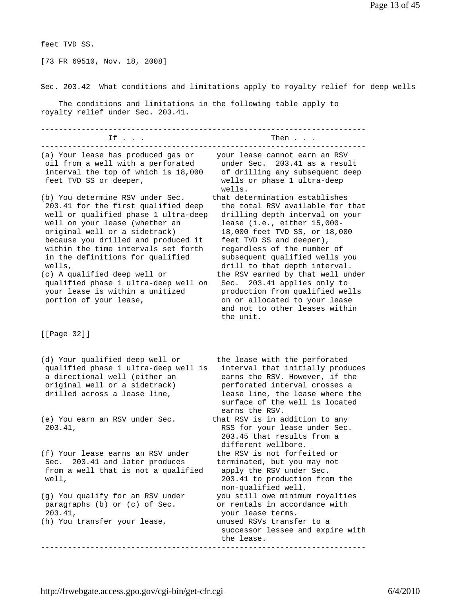feet TVD SS.

[73 FR 69510, Nov. 18, 2008]

Sec. 203.42 What conditions and limitations apply to royalty relief for deep wells

 The conditions and limitations in the following table apply to royalty relief under Sec. 203.41.

| Then                                                                                                                                                                                                                                                                                                                                                                                                                                                                                       |
|--------------------------------------------------------------------------------------------------------------------------------------------------------------------------------------------------------------------------------------------------------------------------------------------------------------------------------------------------------------------------------------------------------------------------------------------------------------------------------------------|
| your lease cannot earn an RSV<br>203.41 as a result<br>under Sec.<br>of drilling any subsequent deep<br>wells or phase 1 ultra-deep<br>wells.                                                                                                                                                                                                                                                                                                                                              |
| that determination establishes<br>the total RSV available for that<br>drilling depth interval on your<br>lease (i.e., either 15,000-<br>18,000 feet TVD SS, or 18,000<br>feet TVD SS and deeper),<br>regardless of the number of<br>subsequent qualified wells you<br>drill to that depth interval.<br>the RSV earned by that well under<br>Sec. 203.41 applies only to<br>production from qualified wells<br>on or allocated to your lease<br>and not to other leases within<br>the unit. |
|                                                                                                                                                                                                                                                                                                                                                                                                                                                                                            |
| the lease with the perforated<br>interval that initially produces<br>earns the RSV. However, if the<br>perforated interval crosses a<br>lease line, the lease where the<br>surface of the well is located<br>earns the RSV.                                                                                                                                                                                                                                                                |
| that RSV is in addition to any<br>RSS for your lease under Sec.<br>203.45 that results from a<br>different wellbore.                                                                                                                                                                                                                                                                                                                                                                       |
| the RSV is not forfeited or<br>terminated, but you may not<br>apply the RSV under Sec.<br>203.41 to production from the<br>non-qualified well.                                                                                                                                                                                                                                                                                                                                             |
| you still owe minimum royalties<br>or rentals in accordance with<br>your lease terms.<br>unused RSVs transfer to a<br>successor lessee and expire with<br>the lease.                                                                                                                                                                                                                                                                                                                       |
|                                                                                                                                                                                                                                                                                                                                                                                                                                                                                            |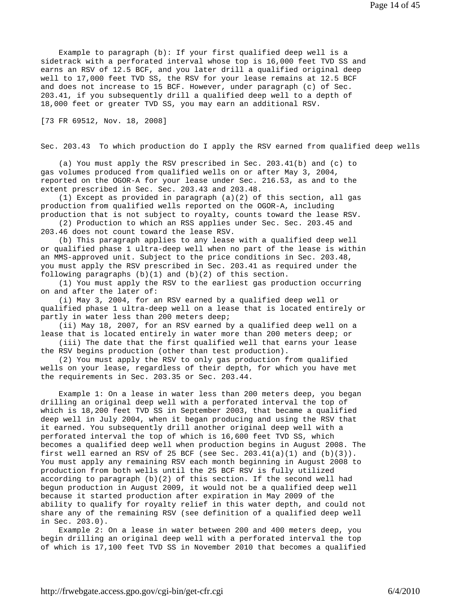Example to paragraph (b): If your first qualified deep well is a sidetrack with a perforated interval whose top is 16,000 feet TVD SS and earns an RSV of 12.5 BCF, and you later drill a qualified original deep well to 17,000 feet TVD SS, the RSV for your lease remains at 12.5 BCF and does not increase to 15 BCF. However, under paragraph (c) of Sec. 203.41, if you subsequently drill a qualified deep well to a depth of 18,000 feet or greater TVD SS, you may earn an additional RSV.

[73 FR 69512, Nov. 18, 2008]

Sec. 203.43 To which production do I apply the RSV earned from qualified deep wells

 (a) You must apply the RSV prescribed in Sec. 203.41(b) and (c) to gas volumes produced from qualified wells on or after May 3, 2004, reported on the OGOR-A for your lease under Sec. 216.53, as and to the extent prescribed in Sec. Sec. 203.43 and 203.48.

(1) Except as provided in paragraph  $(a)(2)$  of this section, all gas production from qualified wells reported on the OGOR-A, including production that is not subject to royalty, counts toward the lease RSV.

 (2) Production to which an RSS applies under Sec. Sec. 203.45 and 203.46 does not count toward the lease RSV.

 (b) This paragraph applies to any lease with a qualified deep well or qualified phase 1 ultra-deep well when no part of the lease is within an MMS-approved unit. Subject to the price conditions in Sec. 203.48, you must apply the RSV prescribed in Sec. 203.41 as required under the following paragraphs  $(b)(1)$  and  $(b)(2)$  of this section.

 (1) You must apply the RSV to the earliest gas production occurring on and after the later of:

 (i) May 3, 2004, for an RSV earned by a qualified deep well or qualified phase 1 ultra-deep well on a lease that is located entirely or partly in water less than 200 meters deep;

 (ii) May 18, 2007, for an RSV earned by a qualified deep well on a lease that is located entirely in water more than 200 meters deep; or

 (iii) The date that the first qualified well that earns your lease the RSV begins production (other than test production).

 (2) You must apply the RSV to only gas production from qualified wells on your lease, regardless of their depth, for which you have met the requirements in Sec. 203.35 or Sec. 203.44.

 Example 1: On a lease in water less than 200 meters deep, you began drilling an original deep well with a perforated interval the top of which is 18,200 feet TVD SS in September 2003, that became a qualified deep well in July 2004, when it began producing and using the RSV that it earned. You subsequently drill another original deep well with a perforated interval the top of which is 16,600 feet TVD SS, which becomes a qualified deep well when production begins in August 2008. The first well earned an RSV of 25 BCF (see Sec.  $203.41(a)(1)$  and  $(b)(3)$ ). You must apply any remaining RSV each month beginning in August 2008 to production from both wells until the 25 BCF RSV is fully utilized according to paragraph (b)(2) of this section. If the second well had begun production in August 2009, it would not be a qualified deep well because it started production after expiration in May 2009 of the ability to qualify for royalty relief in this water depth, and could not share any of the remaining RSV (see definition of a qualified deep well in Sec. 203.0).

 Example 2: On a lease in water between 200 and 400 meters deep, you begin drilling an original deep well with a perforated interval the top of which is 17,100 feet TVD SS in November 2010 that becomes a qualified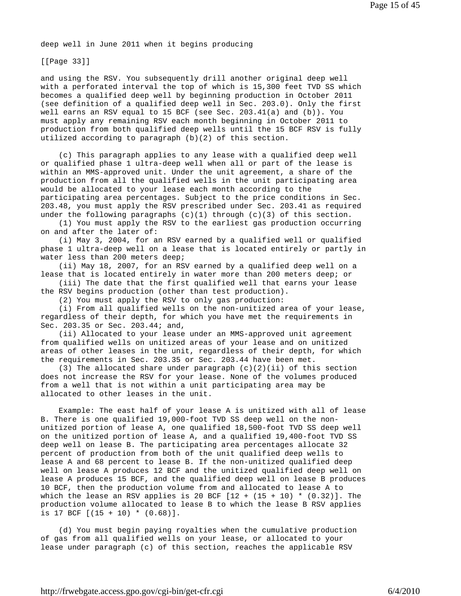deep well in June 2011 when it begins producing

[[Page 33]]

and using the RSV. You subsequently drill another original deep well with a perforated interval the top of which is 15,300 feet TVD SS which becomes a qualified deep well by beginning production in October 2011 (see definition of a qualified deep well in Sec. 203.0). Only the first well earns an RSV equal to 15 BCF (see Sec. 203.41(a) and (b)). You must apply any remaining RSV each month beginning in October 2011 to production from both qualified deep wells until the 15 BCF RSV is fully utilized according to paragraph (b)(2) of this section.

 (c) This paragraph applies to any lease with a qualified deep well or qualified phase 1 ultra-deep well when all or part of the lease is within an MMS-approved unit. Under the unit agreement, a share of the production from all the qualified wells in the unit participating area would be allocated to your lease each month according to the participating area percentages. Subject to the price conditions in Sec. 203.48, you must apply the RSV prescribed under Sec. 203.41 as required under the following paragraphs  $(c)(1)$  through  $(c)(3)$  of this section.

 (1) You must apply the RSV to the earliest gas production occurring on and after the later of:

 (i) May 3, 2004, for an RSV earned by a qualified well or qualified phase 1 ultra-deep well on a lease that is located entirely or partly in water less than 200 meters deep;

 (ii) May 18, 2007, for an RSV earned by a qualified deep well on a lease that is located entirely in water more than 200 meters deep; or

 (iii) The date that the first qualified well that earns your lease the RSV begins production (other than test production).

(2) You must apply the RSV to only gas production:

 (i) From all qualified wells on the non-unitized area of your lease, regardless of their depth, for which you have met the requirements in Sec. 203.35 or Sec. 203.44; and,

 (ii) Allocated to your lease under an MMS-approved unit agreement from qualified wells on unitized areas of your lease and on unitized areas of other leases in the unit, regardless of their depth, for which the requirements in Sec. 203.35 or Sec. 203.44 have been met.

(3) The allocated share under paragraph  $(c)(2)(ii)$  of this section does not increase the RSV for your lease. None of the volumes produced from a well that is not within a unit participating area may be allocated to other leases in the unit.

 Example: The east half of your lease A is unitized with all of lease B. There is one qualified 19,000-foot TVD SS deep well on the nonunitized portion of lease A, one qualified 18,500-foot TVD SS deep well on the unitized portion of lease A, and a qualified 19,400-foot TVD SS deep well on lease B. The participating area percentages allocate 32 percent of production from both of the unit qualified deep wells to lease A and 68 percent to lease B. If the non-unitized qualified deep well on lease A produces 12 BCF and the unitized qualified deep well on lease A produces 15 BCF, and the qualified deep well on lease B produces 10 BCF, then the production volume from and allocated to lease A to which the lease an RSV applies is 20 BCF  $[12 + (15 + 10) * (0.32)]$ . The production volume allocated to lease B to which the lease B RSV applies is 17 BCF [(15 + 10) \* (0.68)].

 (d) You must begin paying royalties when the cumulative production of gas from all qualified wells on your lease, or allocated to your lease under paragraph (c) of this section, reaches the applicable RSV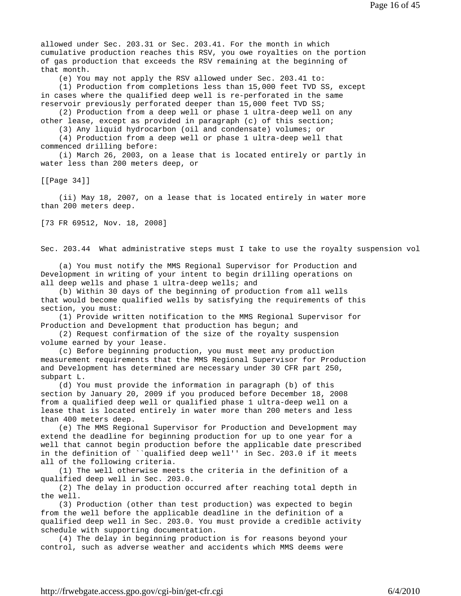allowed under Sec. 203.31 or Sec. 203.41. For the month in which cumulative production reaches this RSV, you owe royalties on the portion of gas production that exceeds the RSV remaining at the beginning of that month.

(e) You may not apply the RSV allowed under Sec. 203.41 to:

 (1) Production from completions less than 15,000 feet TVD SS, except in cases where the qualified deep well is re-perforated in the same reservoir previously perforated deeper than 15,000 feet TVD SS;

 (2) Production from a deep well or phase 1 ultra-deep well on any other lease, except as provided in paragraph (c) of this section;

(3) Any liquid hydrocarbon (oil and condensate) volumes; or

 (4) Production from a deep well or phase 1 ultra-deep well that commenced drilling before:

 (i) March 26, 2003, on a lease that is located entirely or partly in water less than 200 meters deep, or

[[Page 34]]

 (ii) May 18, 2007, on a lease that is located entirely in water more than 200 meters deep.

[73 FR 69512, Nov. 18, 2008]

Sec. 203.44 What administrative steps must I take to use the royalty suspension vol

 (a) You must notify the MMS Regional Supervisor for Production and Development in writing of your intent to begin drilling operations on all deep wells and phase 1 ultra-deep wells; and

 (b) Within 30 days of the beginning of production from all wells that would become qualified wells by satisfying the requirements of this section, you must:

 (1) Provide written notification to the MMS Regional Supervisor for Production and Development that production has begun; and

 (2) Request confirmation of the size of the royalty suspension volume earned by your lease.

 (c) Before beginning production, you must meet any production measurement requirements that the MMS Regional Supervisor for Production and Development has determined are necessary under 30 CFR part 250, subpart L.

 (d) You must provide the information in paragraph (b) of this section by January 20, 2009 if you produced before December 18, 2008 from a qualified deep well or qualified phase 1 ultra-deep well on a lease that is located entirely in water more than 200 meters and less than 400 meters deep.

 (e) The MMS Regional Supervisor for Production and Development may extend the deadline for beginning production for up to one year for a well that cannot begin production before the applicable date prescribed in the definition of ``qualified deep well'' in Sec. 203.0 if it meets all of the following criteria.

 (1) The well otherwise meets the criteria in the definition of a qualified deep well in Sec. 203.0.

 (2) The delay in production occurred after reaching total depth in the well.

 (3) Production (other than test production) was expected to begin from the well before the applicable deadline in the definition of a qualified deep well in Sec. 203.0. You must provide a credible activity schedule with supporting documentation.

 (4) The delay in beginning production is for reasons beyond your control, such as adverse weather and accidents which MMS deems were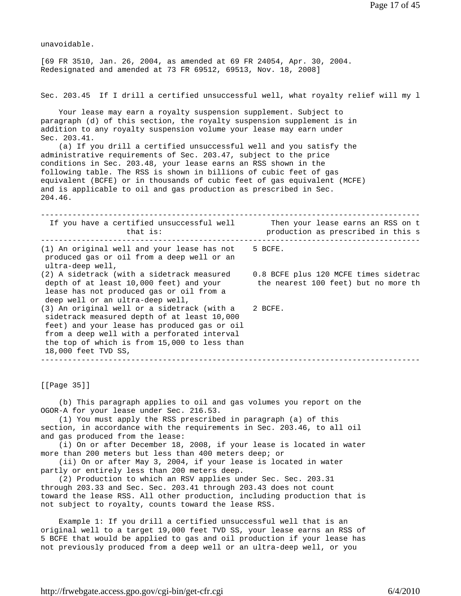unavoidable. [69 FR 3510, Jan. 26, 2004, as amended at 69 FR 24054, Apr. 30, 2004. Redesignated and amended at 73 FR 69512, 69513, Nov. 18, 2008] Sec. 203.45 If I drill a certified unsuccessful well, what royalty relief will my l Your lease may earn a royalty suspension supplement. Subject to paragraph (d) of this section, the royalty suspension supplement is in addition to any royalty suspension volume your lease may earn under Sec. 203.41. (a) If you drill a certified unsuccessful well and you satisfy the administrative requirements of Sec. 203.47, subject to the price conditions in Sec. 203.48, your lease earns an RSS shown in the following table. The RSS is shown in billions of cubic feet of gas equivalent (BCFE) or in thousands of cubic feet of gas equivalent (MCFE) and is applicable to oil and gas production as prescribed in Sec. 204.46. ------------------------------------------------------------------------------------ If you have a certified unsuccessful well Then your lease earns an RSS on t that is: production as prescribed in this s ------------------------------------------------------------------------------------ (1) An original well and your lease has not 5 BCFE. produced gas or oil from a deep well or an ultra-deep well, (2) A sidetrack (with a sidetrack measured 0.8 BCFE plus 120 MCFE times sidetrac depth of at least 10,000 feet) and your the nearest 100 feet) but no more th lease has not produced gas or oil from a deep well or an ultra-deep well, (3) An original well or a sidetrack (with a 2 BCFE. sidetrack measured depth of at least 10,000 feet) and your lease has produced gas or oil from a deep well with a perforated interval the top of which is from 15,000 to less than 18,000 feet TVD SS, ------------------------------------------------------------------------------------

[[Page 35]]

 (b) This paragraph applies to oil and gas volumes you report on the OGOR-A for your lease under Sec. 216.53.

 (1) You must apply the RSS prescribed in paragraph (a) of this section, in accordance with the requirements in Sec. 203.46, to all oil and gas produced from the lease:

 (i) On or after December 18, 2008, if your lease is located in water more than 200 meters but less than 400 meters deep; or

 (ii) On or after May 3, 2004, if your lease is located in water partly or entirely less than 200 meters deep.

 (2) Production to which an RSV applies under Sec. Sec. 203.31 through 203.33 and Sec. Sec. 203.41 through 203.43 does not count toward the lease RSS. All other production, including production that is not subject to royalty, counts toward the lease RSS.

 Example 1: If you drill a certified unsuccessful well that is an original well to a target 19,000 feet TVD SS, your lease earns an RSS of 5 BCFE that would be applied to gas and oil production if your lease has not previously produced from a deep well or an ultra-deep well, or you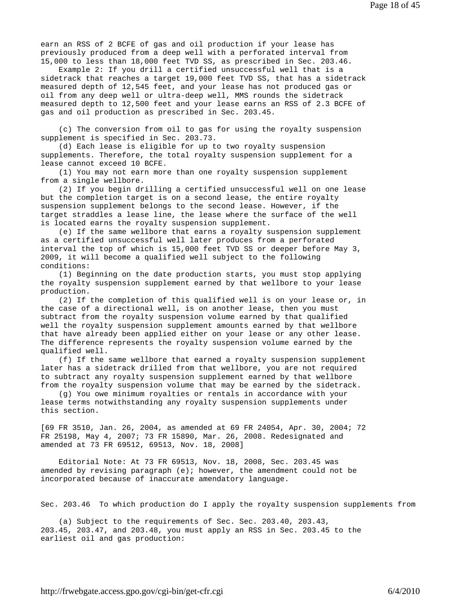earn an RSS of 2 BCFE of gas and oil production if your lease has previously produced from a deep well with a perforated interval from 15,000 to less than 18,000 feet TVD SS, as prescribed in Sec. 203.46.

 Example 2: If you drill a certified unsuccessful well that is a sidetrack that reaches a target 19,000 feet TVD SS, that has a sidetrack measured depth of 12,545 feet, and your lease has not produced gas or oil from any deep well or ultra-deep well, MMS rounds the sidetrack measured depth to 12,500 feet and your lease earns an RSS of 2.3 BCFE of gas and oil production as prescribed in Sec. 203.45.

 (c) The conversion from oil to gas for using the royalty suspension supplement is specified in Sec. 203.73.

 (d) Each lease is eligible for up to two royalty suspension supplements. Therefore, the total royalty suspension supplement for a lease cannot exceed 10 BCFE.

 (1) You may not earn more than one royalty suspension supplement from a single wellbore.

 (2) If you begin drilling a certified unsuccessful well on one lease but the completion target is on a second lease, the entire royalty suspension supplement belongs to the second lease. However, if the target straddles a lease line, the lease where the surface of the well is located earns the royalty suspension supplement.

 (e) If the same wellbore that earns a royalty suspension supplement as a certified unsuccessful well later produces from a perforated interval the top of which is 15,000 feet TVD SS or deeper before May 3, 2009, it will become a qualified well subject to the following conditions:

 (1) Beginning on the date production starts, you must stop applying the royalty suspension supplement earned by that wellbore to your lease production.

 (2) If the completion of this qualified well is on your lease or, in the case of a directional well, is on another lease, then you must subtract from the royalty suspension volume earned by that qualified well the royalty suspension supplement amounts earned by that wellbore that have already been applied either on your lease or any other lease. The difference represents the royalty suspension volume earned by the qualified well.

 (f) If the same wellbore that earned a royalty suspension supplement later has a sidetrack drilled from that wellbore, you are not required to subtract any royalty suspension supplement earned by that wellbore from the royalty suspension volume that may be earned by the sidetrack.

 (g) You owe minimum royalties or rentals in accordance with your lease terms notwithstanding any royalty suspension supplements under this section.

[69 FR 3510, Jan. 26, 2004, as amended at 69 FR 24054, Apr. 30, 2004; 72 FR 25198, May 4, 2007; 73 FR 15890, Mar. 26, 2008. Redesignated and amended at 73 FR 69512, 69513, Nov. 18, 2008]

 Editorial Note: At 73 FR 69513, Nov. 18, 2008, Sec. 203.45 was amended by revising paragraph  $(e)$ ; however, the amendment could not be incorporated because of inaccurate amendatory language.

Sec. 203.46 To which production do I apply the royalty suspension supplements from

 (a) Subject to the requirements of Sec. Sec. 203.40, 203.43, 203.45, 203.47, and 203.48, you must apply an RSS in Sec. 203.45 to the earliest oil and gas production: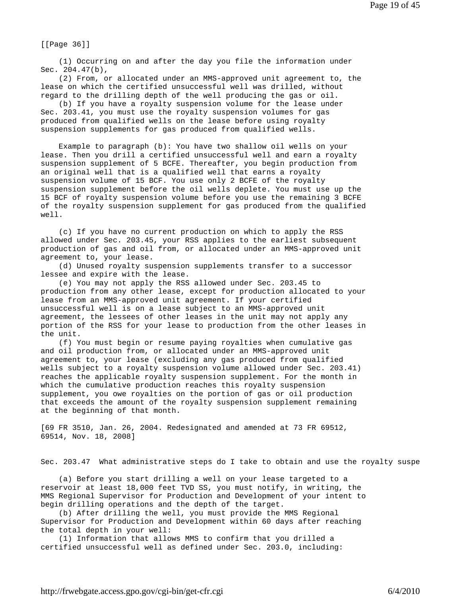[[Page 36]]

 (1) Occurring on and after the day you file the information under Sec. 204.47(b),

 (2) From, or allocated under an MMS-approved unit agreement to, the lease on which the certified unsuccessful well was drilled, without regard to the drilling depth of the well producing the gas or oil.

 (b) If you have a royalty suspension volume for the lease under Sec. 203.41, you must use the royalty suspension volumes for gas produced from qualified wells on the lease before using royalty suspension supplements for gas produced from qualified wells.

 Example to paragraph (b): You have two shallow oil wells on your lease. Then you drill a certified unsuccessful well and earn a royalty suspension supplement of 5 BCFE. Thereafter, you begin production from an original well that is a qualified well that earns a royalty suspension volume of 15 BCF. You use only 2 BCFE of the royalty suspension supplement before the oil wells deplete. You must use up the 15 BCF of royalty suspension volume before you use the remaining 3 BCFE of the royalty suspension supplement for gas produced from the qualified well.

 (c) If you have no current production on which to apply the RSS allowed under Sec. 203.45, your RSS applies to the earliest subsequent production of gas and oil from, or allocated under an MMS-approved unit agreement to, your lease.

 (d) Unused royalty suspension supplements transfer to a successor lessee and expire with the lease.

 (e) You may not apply the RSS allowed under Sec. 203.45 to production from any other lease, except for production allocated to your lease from an MMS-approved unit agreement. If your certified unsuccessful well is on a lease subject to an MMS-approved unit agreement, the lessees of other leases in the unit may not apply any portion of the RSS for your lease to production from the other leases in the unit.

 (f) You must begin or resume paying royalties when cumulative gas and oil production from, or allocated under an MMS-approved unit agreement to, your lease (excluding any gas produced from qualified wells subject to a royalty suspension volume allowed under Sec. 203.41) reaches the applicable royalty suspension supplement. For the month in which the cumulative production reaches this royalty suspension supplement, you owe royalties on the portion of gas or oil production that exceeds the amount of the royalty suspension supplement remaining at the beginning of that month.

[69 FR 3510, Jan. 26, 2004. Redesignated and amended at 73 FR 69512, 69514, Nov. 18, 2008]

Sec. 203.47 What administrative steps do I take to obtain and use the royalty suspe

 (a) Before you start drilling a well on your lease targeted to a reservoir at least 18,000 feet TVD SS, you must notify, in writing, the MMS Regional Supervisor for Production and Development of your intent to begin drilling operations and the depth of the target.

 (b) After drilling the well, you must provide the MMS Regional Supervisor for Production and Development within 60 days after reaching the total depth in your well:

 (1) Information that allows MMS to confirm that you drilled a certified unsuccessful well as defined under Sec. 203.0, including: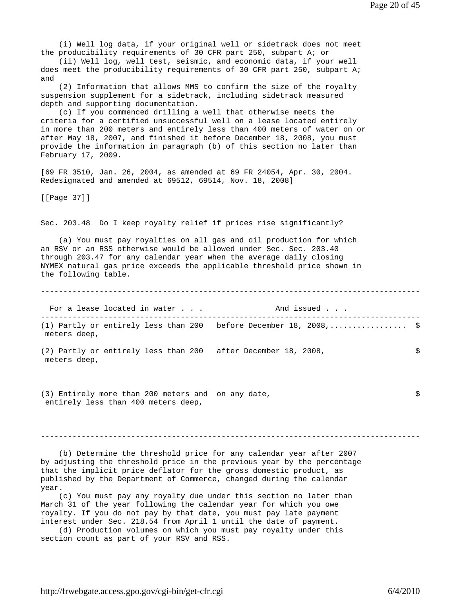(i) Well log data, if your original well or sidetrack does not meet the producibility requirements of 30 CFR part 250, subpart A; or

 (ii) Well log, well test, seismic, and economic data, if your well does meet the producibility requirements of 30 CFR part 250, subpart A; and

 (2) Information that allows MMS to confirm the size of the royalty suspension supplement for a sidetrack, including sidetrack measured depth and supporting documentation.

 (c) If you commenced drilling a well that otherwise meets the criteria for a certified unsuccessful well on a lease located entirely in more than 200 meters and entirely less than 400 meters of water on or after May 18, 2007, and finished it before December 18, 2008, you must provide the information in paragraph (b) of this section no later than February 17, 2009.

[69 FR 3510, Jan. 26, 2004, as amended at 69 FR 24054, Apr. 30, 2004. Redesignated and amended at 69512, 69514, Nov. 18, 2008]

[[Page 37]]

Sec. 203.48 Do I keep royalty relief if prices rise significantly?

 (a) You must pay royalties on all gas and oil production for which an RSV or an RSS otherwise would be allowed under Sec. Sec. 203.40 through 203.47 for any calendar year when the average daily closing NYMEX natural gas price exceeds the applicable threshold price shown in the following table.

------------------------------------------------------------------------------------

For a lease located in water . . . The Mand issued . . .

------------------------------------------------------------------------------------ (1) Partly or entirely less than 200 before December 18, 2008,................. \$ meters deep,

(2) Partly or entirely less than 200 after December 18, 2008, \$ meters deep,

(3) Entirely more than 200 meters and on any date, \$ entirely less than 400 meters deep,

------------------------------------------------------------------------------------

 (b) Determine the threshold price for any calendar year after 2007 by adjusting the threshold price in the previous year by the percentage that the implicit price deflator for the gross domestic product, as published by the Department of Commerce, changed during the calendar year.

 (c) You must pay any royalty due under this section no later than March 31 of the year following the calendar year for which you owe royalty. If you do not pay by that date, you must pay late payment interest under Sec. 218.54 from April 1 until the date of payment.

 (d) Production volumes on which you must pay royalty under this section count as part of your RSV and RSS.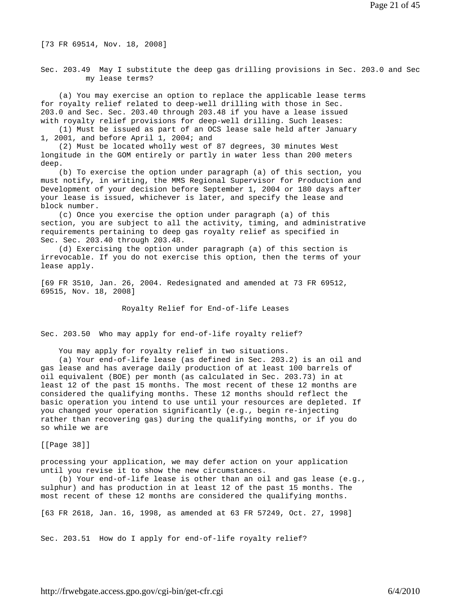[73 FR 69514, Nov. 18, 2008]

Sec. 203.49 May I substitute the deep gas drilling provisions in Sec. 203.0 and Sec my lease terms?

 (a) You may exercise an option to replace the applicable lease terms for royalty relief related to deep-well drilling with those in Sec. 203.0 and Sec. Sec. 203.40 through 203.48 if you have a lease issued with royalty relief provisions for deep-well drilling. Such leases:

 (1) Must be issued as part of an OCS lease sale held after January 1, 2001, and before April 1, 2004; and

 (2) Must be located wholly west of 87 degrees, 30 minutes West longitude in the GOM entirely or partly in water less than 200 meters deep.

 (b) To exercise the option under paragraph (a) of this section, you must notify, in writing, the MMS Regional Supervisor for Production and Development of your decision before September 1, 2004 or 180 days after your lease is issued, whichever is later, and specify the lease and block number.

 (c) Once you exercise the option under paragraph (a) of this section, you are subject to all the activity, timing, and administrative requirements pertaining to deep gas royalty relief as specified in Sec. Sec. 203.40 through 203.48.

 (d) Exercising the option under paragraph (a) of this section is irrevocable. If you do not exercise this option, then the terms of your lease apply.

[69 FR 3510, Jan. 26, 2004. Redesignated and amended at 73 FR 69512, 69515, Nov. 18, 2008]

Royalty Relief for End-of-life Leases

Sec. 203.50 Who may apply for end-of-life royalty relief?

You may apply for royalty relief in two situations.

 (a) Your end-of-life lease (as defined in Sec. 203.2) is an oil and gas lease and has average daily production of at least 100 barrels of oil equivalent (BOE) per month (as calculated in Sec. 203.73) in at least 12 of the past 15 months. The most recent of these 12 months are considered the qualifying months. These 12 months should reflect the basic operation you intend to use until your resources are depleted. If you changed your operation significantly (e.g., begin re-injecting rather than recovering gas) during the qualifying months, or if you do so while we are

[[Page 38]]

processing your application, we may defer action on your application until you revise it to show the new circumstances.

 (b) Your end-of-life lease is other than an oil and gas lease (e.g., sulphur) and has production in at least 12 of the past 15 months. The most recent of these 12 months are considered the qualifying months.

[63 FR 2618, Jan. 16, 1998, as amended at 63 FR 57249, Oct. 27, 1998]

Sec. 203.51 How do I apply for end-of-life royalty relief?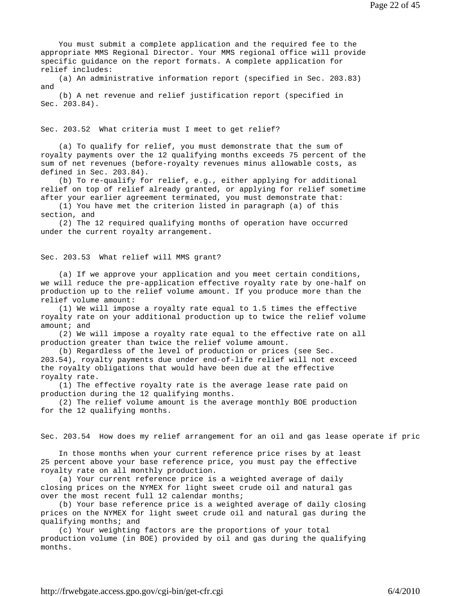You must submit a complete application and the required fee to the appropriate MMS Regional Director. Your MMS regional office will provide specific guidance on the report formats. A complete application for relief includes:

 (a) An administrative information report (specified in Sec. 203.83) and

 (b) A net revenue and relief justification report (specified in Sec. 203.84).

Sec. 203.52 What criteria must I meet to get relief?

 (a) To qualify for relief, you must demonstrate that the sum of royalty payments over the 12 qualifying months exceeds 75 percent of the sum of net revenues (before-royalty revenues minus allowable costs, as defined in Sec. 203.84).

 (b) To re-qualify for relief, e.g., either applying for additional relief on top of relief already granted, or applying for relief sometime after your earlier agreement terminated, you must demonstrate that:

 (1) You have met the criterion listed in paragraph (a) of this section, and

 (2) The 12 required qualifying months of operation have occurred under the current royalty arrangement.

Sec. 203.53 What relief will MMS grant?

 (a) If we approve your application and you meet certain conditions, we will reduce the pre-application effective royalty rate by one-half on production up to the relief volume amount. If you produce more than the relief volume amount:

 (1) We will impose a royalty rate equal to 1.5 times the effective royalty rate on your additional production up to twice the relief volume amount; and

 (2) We will impose a royalty rate equal to the effective rate on all production greater than twice the relief volume amount.

 (b) Regardless of the level of production or prices (see Sec. 203.54), royalty payments due under end-of-life relief will not exceed the royalty obligations that would have been due at the effective royalty rate.

 (1) The effective royalty rate is the average lease rate paid on production during the 12 qualifying months.

 (2) The relief volume amount is the average monthly BOE production for the 12 qualifying months.

Sec. 203.54 How does my relief arrangement for an oil and gas lease operate if pric

 In those months when your current reference price rises by at least 25 percent above your base reference price, you must pay the effective royalty rate on all monthly production.

 (a) Your current reference price is a weighted average of daily closing prices on the NYMEX for light sweet crude oil and natural gas over the most recent full 12 calendar months;

 (b) Your base reference price is a weighted average of daily closing prices on the NYMEX for light sweet crude oil and natural gas during the qualifying months; and

 (c) Your weighting factors are the proportions of your total production volume (in BOE) provided by oil and gas during the qualifying months.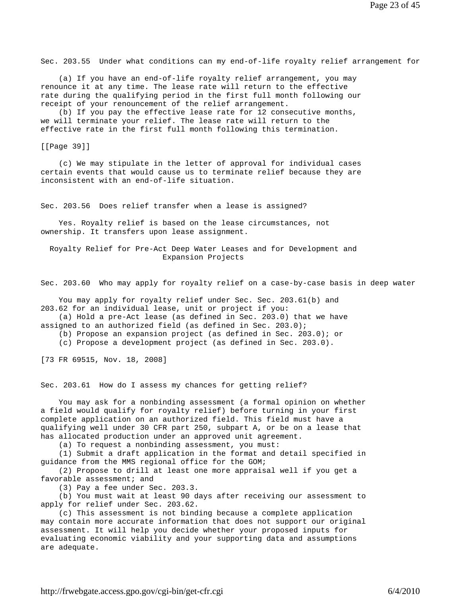Sec. 203.55 Under what conditions can my end-of-life royalty relief arrangement for

 (a) If you have an end-of-life royalty relief arrangement, you may renounce it at any time. The lease rate will return to the effective rate during the qualifying period in the first full month following our receipt of your renouncement of the relief arrangement.

 (b) If you pay the effective lease rate for 12 consecutive months, we will terminate your relief. The lease rate will return to the effective rate in the first full month following this termination.

[[Page 39]]

 (c) We may stipulate in the letter of approval for individual cases certain events that would cause us to terminate relief because they are inconsistent with an end-of-life situation.

Sec. 203.56 Does relief transfer when a lease is assigned?

 Yes. Royalty relief is based on the lease circumstances, not ownership. It transfers upon lease assignment.

 Royalty Relief for Pre-Act Deep Water Leases and for Development and Expansion Projects

Sec. 203.60 Who may apply for royalty relief on a case-by-case basis in deep water

 You may apply for royalty relief under Sec. Sec. 203.61(b) and 203.62 for an individual lease, unit or project if you:

(a) Hold a pre-Act lease (as defined in Sec. 203.0) that we have

assigned to an authorized field (as defined in Sec. 203.0);

(b) Propose an expansion project (as defined in Sec. 203.0); or

(c) Propose a development project (as defined in Sec. 203.0).

[73 FR 69515, Nov. 18, 2008]

Sec. 203.61 How do I assess my chances for getting relief?

 You may ask for a nonbinding assessment (a formal opinion on whether a field would qualify for royalty relief) before turning in your first complete application on an authorized field. This field must have a qualifying well under 30 CFR part 250, subpart A, or be on a lease that has allocated production under an approved unit agreement.

(a) To request a nonbinding assessment, you must:

 (1) Submit a draft application in the format and detail specified in guidance from the MMS regional office for the GOM;

 (2) Propose to drill at least one more appraisal well if you get a favorable assessment; and

(3) Pay a fee under Sec. 203.3.

 (b) You must wait at least 90 days after receiving our assessment to apply for relief under Sec. 203.62.

 (c) This assessment is not binding because a complete application may contain more accurate information that does not support our original assessment. It will help you decide whether your proposed inputs for evaluating economic viability and your supporting data and assumptions are adequate.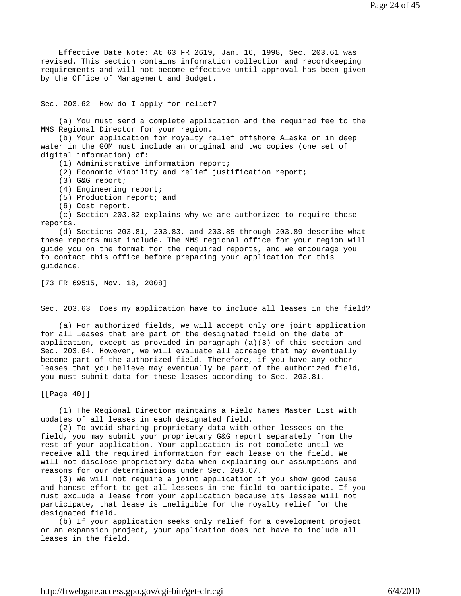Effective Date Note: At 63 FR 2619, Jan. 16, 1998, Sec. 203.61 was revised. This section contains information collection and recordkeeping requirements and will not become effective until approval has been given by the Office of Management and Budget.

Sec. 203.62 How do I apply for relief?

 (a) You must send a complete application and the required fee to the MMS Regional Director for your region.

 (b) Your application for royalty relief offshore Alaska or in deep water in the GOM must include an original and two copies (one set of digital information) of:

(1) Administrative information report;

(2) Economic Viability and relief justification report;

(3) G&G report;

(4) Engineering report;

(5) Production report; and

(6) Cost report.

 (c) Section 203.82 explains why we are authorized to require these reports.

 (d) Sections 203.81, 203.83, and 203.85 through 203.89 describe what these reports must include. The MMS regional office for your region will guide you on the format for the required reports, and we encourage you to contact this office before preparing your application for this guidance.

[73 FR 69515, Nov. 18, 2008]

Sec. 203.63 Does my application have to include all leases in the field?

 (a) For authorized fields, we will accept only one joint application for all leases that are part of the designated field on the date of application, except as provided in paragraph  $(a)(3)$  of this section and Sec. 203.64. However, we will evaluate all acreage that may eventually become part of the authorized field. Therefore, if you have any other leases that you believe may eventually be part of the authorized field, you must submit data for these leases according to Sec. 203.81.

[[Page 40]]

 (1) The Regional Director maintains a Field Names Master List with updates of all leases in each designated field.

 (2) To avoid sharing proprietary data with other lessees on the field, you may submit your proprietary G&G report separately from the rest of your application. Your application is not complete until we receive all the required information for each lease on the field. We will not disclose proprietary data when explaining our assumptions and reasons for our determinations under Sec. 203.67.

 (3) We will not require a joint application if you show good cause and honest effort to get all lessees in the field to participate. If you must exclude a lease from your application because its lessee will not participate, that lease is ineligible for the royalty relief for the designated field.

 (b) If your application seeks only relief for a development project or an expansion project, your application does not have to include all leases in the field.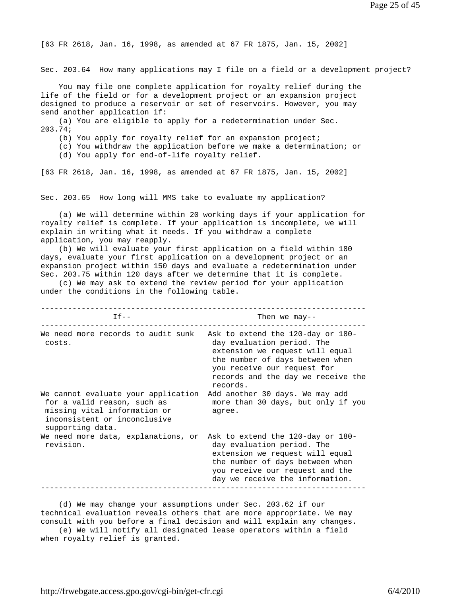[63 FR 2618, Jan. 16, 1998, as amended at 67 FR 1875, Jan. 15, 2002]

Sec. 203.64 How many applications may I file on a field or a development project?

 You may file one complete application for royalty relief during the life of the field or for a development project or an expansion project designed to produce a reservoir or set of reservoirs. However, you may send another application if:

 (a) You are eligible to apply for a redetermination under Sec. 203.74;

(b) You apply for royalty relief for an expansion project;

(c) You withdraw the application before we make a determination; or

(d) You apply for end-of-life royalty relief.

[63 FR 2618, Jan. 16, 1998, as amended at 67 FR 1875, Jan. 15, 2002]

Sec. 203.65 How long will MMS take to evaluate my application?

 (a) We will determine within 20 working days if your application for royalty relief is complete. If your application is incomplete, we will explain in writing what it needs. If you withdraw a complete application, you may reapply.

 (b) We will evaluate your first application on a field within 180 days, evaluate your first application on a development project or an expansion project within 150 days and evaluate a redetermination under Sec. 203.75 within 120 days after we determine that it is complete.

 (c) We may ask to extend the review period for your application under the conditions in the following table.

| $If --$                                                                                                                                                | Then we may--                                                                                                                                                                                                          |  |  |
|--------------------------------------------------------------------------------------------------------------------------------------------------------|------------------------------------------------------------------------------------------------------------------------------------------------------------------------------------------------------------------------|--|--|
| We need more records to audit sunk<br>costs.                                                                                                           | Ask to extend the 120-day or 180-<br>day evaluation period. The<br>extension we request will equal<br>the number of days between when<br>you receive our request for<br>records and the day we receive the<br>records. |  |  |
| We cannot evaluate your application<br>for a valid reason, such as<br>missing vital information or<br>inconsistent or inconclusive<br>supporting data. | Add another 30 days. We may add<br>more than 30 days, but only if you<br>agree.                                                                                                                                        |  |  |
| We need more data, explanations, or<br>revision.                                                                                                       | Ask to extend the 120-day or 180-<br>day evaluation period. The<br>extension we request will equal<br>the number of days between when<br>you receive our request and the<br>day we receive the information.            |  |  |

 (d) We may change your assumptions under Sec. 203.62 if our technical evaluation reveals others that are more appropriate. We may consult with you before a final decision and will explain any changes.

 (e) We will notify all designated lease operators within a field when royalty relief is granted.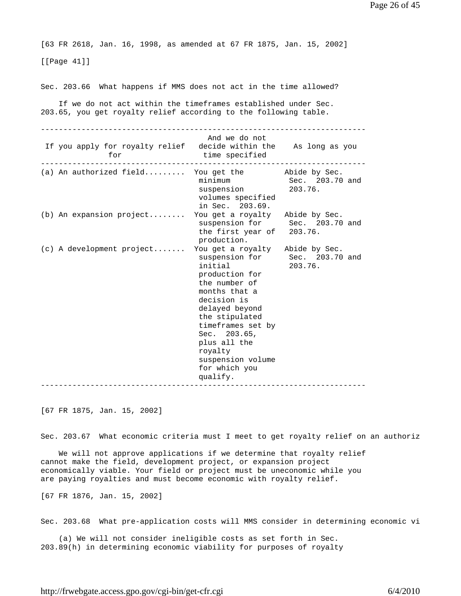[63 FR 2618, Jan. 16, 1998, as amended at 67 FR 1875, Jan. 15, 2002]

[[Page 41]]

Sec. 203.66 What happens if MMS does not act in the time allowed?

 If we do not act within the timeframes established under Sec. 203.65, you get royalty relief according to the following table.

| If you apply for royalty relief decide within the As long as you<br>for | And we do not<br>time specified                                                                                                                                                                                                                                     |                                           |
|-------------------------------------------------------------------------|---------------------------------------------------------------------------------------------------------------------------------------------------------------------------------------------------------------------------------------------------------------------|-------------------------------------------|
| (a) An authorized field You get the $\qquad$ Abide by Sec.              | suspension<br>volumes specified<br>in Sec. 203.69.                                                                                                                                                                                                                  | minimum Sec. 203.70 and<br>203.76.        |
| (b) An expansion project You get a royalty Abide by Sec.                | the first year of 203.76.<br>production.                                                                                                                                                                                                                            | suspension for Sec. 203.70 and            |
| (c) A development project                                               | You get a royalty Abide by Sec.<br>initial<br>production for<br>the number of<br>months that a<br>decision is<br>delayed beyond<br>the stipulated<br>timeframes set by<br>Sec. 203.65,<br>plus all the<br>royalty<br>suspension volume<br>for which you<br>qualify. | suspension for Sec. 203.70 and<br>203.76. |

[67 FR 1875, Jan. 15, 2002]

Sec. 203.67 What economic criteria must I meet to get royalty relief on an authoriz

 We will not approve applications if we determine that royalty relief cannot make the field, development project, or expansion project economically viable. Your field or project must be uneconomic while you are paying royalties and must become economic with royalty relief.

[67 FR 1876, Jan. 15, 2002]

Sec. 203.68 What pre-application costs will MMS consider in determining economic vi

 (a) We will not consider ineligible costs as set forth in Sec. 203.89(h) in determining economic viability for purposes of royalty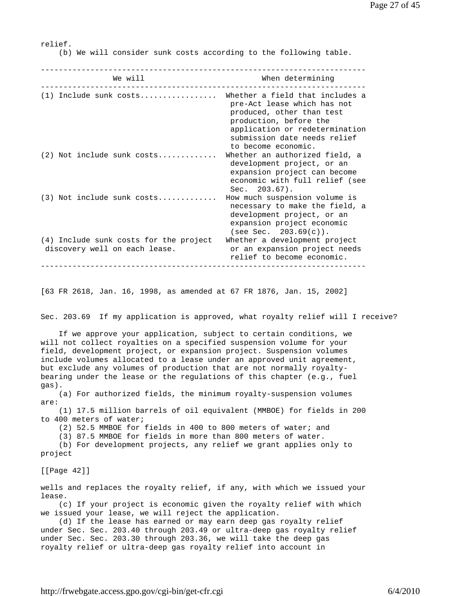relief.

(b) We will consider sunk costs according to the following table.

| We will                                                                 | When determining                                                                                                                                                                                               |  |  |
|-------------------------------------------------------------------------|----------------------------------------------------------------------------------------------------------------------------------------------------------------------------------------------------------------|--|--|
| $(1)$ Include sunk costs                                                | Whether a field that includes a<br>pre-Act lease which has not<br>produced, other than test<br>production, before the<br>application or redetermination<br>submission date needs relief<br>to become economic. |  |  |
| $(2)$ Not include sunk costs                                            | Whether an authorized field, a<br>development project, or an<br>expansion project can become<br>economic with full relief (see<br>$Sec. 203.67$ .                                                              |  |  |
| $(3)$ Not include sunk costs                                            | How much suspension volume is<br>necessary to make the field, a<br>development project, or an<br>expansion project economic<br>$(see Sec. 203.69(c))$ .                                                        |  |  |
| (4) Include sunk costs for the project<br>discovery well on each lease. | Whether a development project<br>or an expansion project needs<br>relief to become economic.                                                                                                                   |  |  |

[63 FR 2618, Jan. 16, 1998, as amended at 67 FR 1876, Jan. 15, 2002]

Sec. 203.69 If my application is approved, what royalty relief will I receive?

 If we approve your application, subject to certain conditions, we will not collect royalties on a specified suspension volume for your field, development project, or expansion project. Suspension volumes include volumes allocated to a lease under an approved unit agreement, but exclude any volumes of production that are not normally royaltybearing under the lease or the regulations of this chapter (e.g., fuel gas).

 (a) For authorized fields, the minimum royalty-suspension volumes are:

 (1) 17.5 million barrels of oil equivalent (MMBOE) for fields in 200 to 400 meters of water;

(2) 52.5 MMBOE for fields in 400 to 800 meters of water; and

(3) 87.5 MMBOE for fields in more than 800 meters of water.

 (b) For development projects, any relief we grant applies only to project

[[Page 42]]

wells and replaces the royalty relief, if any, with which we issued your lease.

 (c) If your project is economic given the royalty relief with which we issued your lease, we will reject the application.

 (d) If the lease has earned or may earn deep gas royalty relief under Sec. Sec. 203.40 through 203.49 or ultra-deep gas royalty relief under Sec. Sec. 203.30 through 203.36, we will take the deep gas royalty relief or ultra-deep gas royalty relief into account in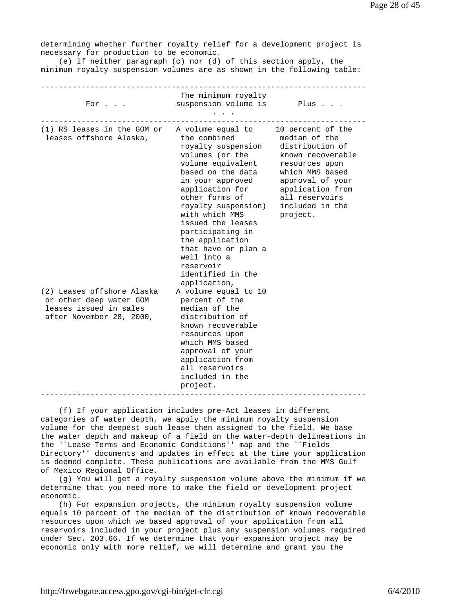determining whether further royalty relief for a development project is necessary for production to be economic. (e) If neither paragraph (c) nor (d) of this section apply, the minimum royalty suspension volumes are as shown in the following table: ------------------------------------------------------------------------ The minimum royalty For . . . Suspension volume is Plus . . . . . . ------------------------------------------------------------------------ (1) RS leases in the GOM or A volume equal to 10 percent of the leases offshore Alaska, the combined median of the royalty suspension distribution of volumes (or the known recoverable volume equivalent resources upon based on the data which MMS based in your approved approval of your application for application from other forms of all reservoirs royalty suspension) included in the with which MMS project. issued the leases participating in the application that have or plan a well into a reservoir identified in the application, (2) Leases offshore Alaska A volume equal to 10 or other deep water GOM percent of the leases issued in sales median of the after November 28, 2000, distribution of known recoverable resources upon which MMS based approval of your application from all reservoirs included in the project. ------------------------------------------------------------------------

 (f) If your application includes pre-Act leases in different categories of water depth, we apply the minimum royalty suspension volume for the deepest such lease then assigned to the field. We base the water depth and makeup of a field on the water-depth delineations in the ``Lease Terms and Economic Conditions'' map and the ``Fields Directory'' documents and updates in effect at the time your application is deemed complete. These publications are available from the MMS Gulf of Mexico Regional Office.

 (g) You will get a royalty suspension volume above the minimum if we determine that you need more to make the field or development project economic.

 (h) For expansion projects, the minimum royalty suspension volume equals 10 percent of the median of the distribution of known recoverable resources upon which we based approval of your application from all reservoirs included in your project plus any suspension volumes required under Sec. 203.66. If we determine that your expansion project may be economic only with more relief, we will determine and grant you the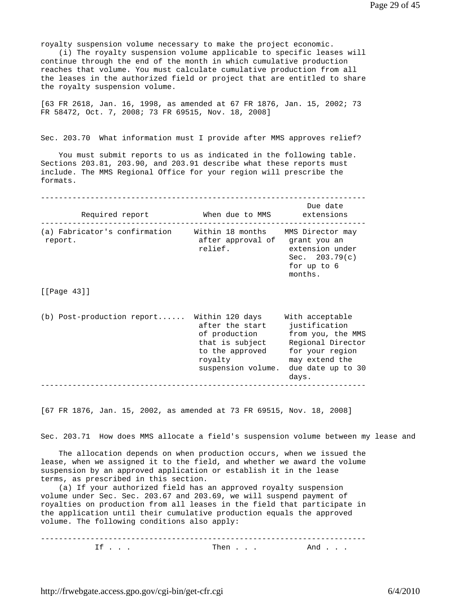royalty suspension volume necessary to make the project economic.

 (i) The royalty suspension volume applicable to specific leases will continue through the end of the month in which cumulative production reaches that volume. You must calculate cumulative production from all the leases in the authorized field or project that are entitled to share the royalty suspension volume.

[63 FR 2618, Jan. 16, 1998, as amended at 67 FR 1876, Jan. 15, 2002; 73 FR 58472, Oct. 7, 2008; 73 FR 69515, Nov. 18, 2008]

Sec. 203.70 What information must I provide after MMS approves relief?

 You must submit reports to us as indicated in the following table. Sections 203.81, 203.90, and 203.91 describe what these reports must include. The MMS Regional Office for your region will prescribe the formats.

------------------------------------------------------------------------ Due date<br>extensions Required report **When due to MMS** ------------------------------------------------------------------------ (a) Fabricator's confirmation Within 18 months MMS Director may report. **after approval of grant you an** after approval of grant you an relief. extension under Sec. 203.79(c) for up to 6 months.

[[Page 43]]

| $(b)$ Post-production report | Within 120 days    | With acceptable   |  |
|------------------------------|--------------------|-------------------|--|
|                              | after the start    | justification     |  |
|                              | of production      | from you, the MMS |  |
|                              | that is subject    | Regional Director |  |
|                              | to the approved    | for your region   |  |
|                              | royalty            | may extend the    |  |
|                              | suspension volume. | due date up to 30 |  |
|                              |                    | days.             |  |
|                              |                    |                   |  |

[67 FR 1876, Jan. 15, 2002, as amended at 73 FR 69515, Nov. 18, 2008]

Sec. 203.71 How does MMS allocate a field's suspension volume between my lease and

 The allocation depends on when production occurs, when we issued the lease, when we assigned it to the field, and whether we award the volume suspension by an approved application or establish it in the lease terms, as prescribed in this section.

 (a) If your authorized field has an approved royalty suspension volume under Sec. Sec. 203.67 and 203.69, we will suspend payment of royalties on production from all leases in the field that participate in the application until their cumulative production equals the approved volume. The following conditions also apply:

------------------------------------------------------------------------  $\text{If} \quad \ldots$  . Then  $\ldots$  . And  $\ldots$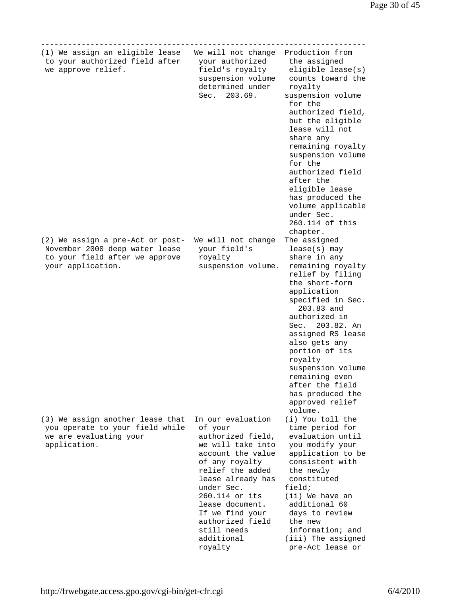| (1) We assign an eligible lease<br>to your authorized field after<br>we approve relief.                                   | We will not change<br>your authorized<br>field's royalty<br>suspension volume<br>determined under<br>Sec. 203.69.                                                                                                                                                                        | Production from<br>the assigned<br>eligible lease(s)<br>counts toward the<br>royalty<br>suspension volume<br>for the<br>authorized field,<br>but the eligible<br>lease will not<br>share any<br>remaining royalty<br>suspension volume<br>for the<br>authorized field<br>after the<br>eligible lease<br>has produced the<br>volume applicable<br>under Sec.<br>260.114 of this<br>chapter. |
|---------------------------------------------------------------------------------------------------------------------------|------------------------------------------------------------------------------------------------------------------------------------------------------------------------------------------------------------------------------------------------------------------------------------------|--------------------------------------------------------------------------------------------------------------------------------------------------------------------------------------------------------------------------------------------------------------------------------------------------------------------------------------------------------------------------------------------|
| (2) We assign a pre-Act or post-<br>November 2000 deep water lease<br>to your field after we approve<br>your application. | We will not change<br>your field's<br>royalty<br>suspension volume.                                                                                                                                                                                                                      | The assigned<br>$lease(s)$ may<br>share in any<br>remaining royalty<br>relief by filing<br>the short-form<br>application<br>specified in Sec.<br>203.83 and<br>authorized in<br>Sec. 203.82. An<br>assigned RS lease<br>also gets any<br>portion of its<br>royalty<br>suspension volume<br>remaining even<br>after the field<br>has produced the<br>approved relief<br>volume.             |
| (3) We assign another lease that<br>you operate to your field while<br>we are evaluating your<br>application.             | In our evaluation<br>of your<br>authorized field,<br>we will take into<br>account the value<br>of any royalty<br>relief the added<br>lease already has<br>under Sec.<br>260.114 or its<br>lease document.<br>If we find your<br>authorized field<br>still needs<br>additional<br>royalty | (i) You toll the<br>time period for<br>evaluation until<br>you modify your<br>application to be<br>consistent with<br>the newly<br>constituted<br>field;<br>(ii) We have an<br>additional 60<br>days to review<br>the new<br>information; and<br>(iii) The assigned<br>pre-Act lease or                                                                                                    |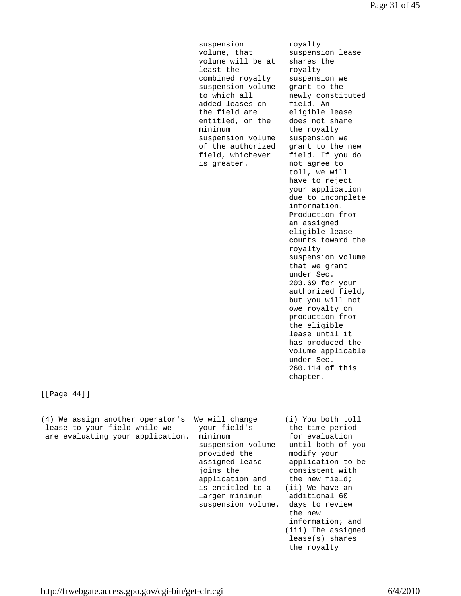suspension royalty volume, that suspension lease volume will be at shares the least the royalty combined royalty suspension we suspension volume grant to the to which all newly constituted added leases on field. An the field are eligible lease entitled, or the does not share minimum the royalty suspension volume suspension we of the authorized grant to the new field, whichever field. If you do is greater. The not agree to

 toll, we will have to reject your application due to incomplete information. Production from an assigned eligible lease counts toward the royalty suspension volume that we grant under Sec. 203.69 for your authorized field, but you will not owe royalty on production from the eligible lease until it has produced the volume applicable under Sec. 260.114 of this chapter.

[[Page 44]]

| (4) We assign another operator's | We will change                    | (i) You both toll                |
|----------------------------------|-----------------------------------|----------------------------------|
| lease to your field while we     | your field's                      | the time period                  |
| are evaluating your application. | minimum                           | for evaluation                   |
|                                  | suspension volume<br>provided the | until both of you<br>modify your |
|                                  | assigned lease                    | application to be                |
|                                  | joins the                         | consistent with                  |
|                                  | application and                   | the new field;                   |
|                                  | is entitled to a                  | (ii) We have an                  |
|                                  | larger minimum                    | additional 60                    |
|                                  | suspension volume.                | days to review                   |
|                                  |                                   | the new                          |
|                                  |                                   | information; and                 |
|                                  |                                   | (iii) The assigned               |
|                                  |                                   | $lease(s)$ shares                |
|                                  |                                   | the royalty                      |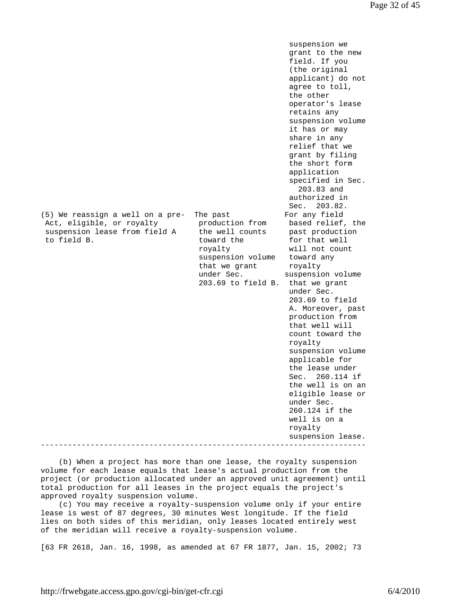suspension we grant to the new field. If you (the original applicant) do not agree to toll, the other operator's lease retains any suspension volume it has or may share in any relief that we grant by filing the short form application specified in Sec. 203.83 and authorized in Sec. 203.82. (5) We reassign a well on a pre- The past For any field Act, eligible, or royalty production from based relief, the suspension lease from field A the well counts past production to field B. toward the for that well royalty will not count suspension volume toward any that we grant the royalty under Sec. suspension volume 203.69 to field B. that we grant under Sec. 203.69 to field A. Moreover, past production from that well will count toward the royalty suspension volume applicable for the lease under Sec. 260.114 if the well is on an eligible lease or under Sec. 260.124 if the well is on a royalty suspension lease. ------------------------------------------------------------------------

 (b) When a project has more than one lease, the royalty suspension volume for each lease equals that lease's actual production from the project (or production allocated under an approved unit agreement) until total production for all leases in the project equals the project's approved royalty suspension volume.

 (c) You may receive a royalty-suspension volume only if your entire lease is west of 87 degrees, 30 minutes West longitude. If the field lies on both sides of this meridian, only leases located entirely west of the meridian will receive a royalty-suspension volume.

[63 FR 2618, Jan. 16, 1998, as amended at 67 FR 1877, Jan. 15, 2002; 73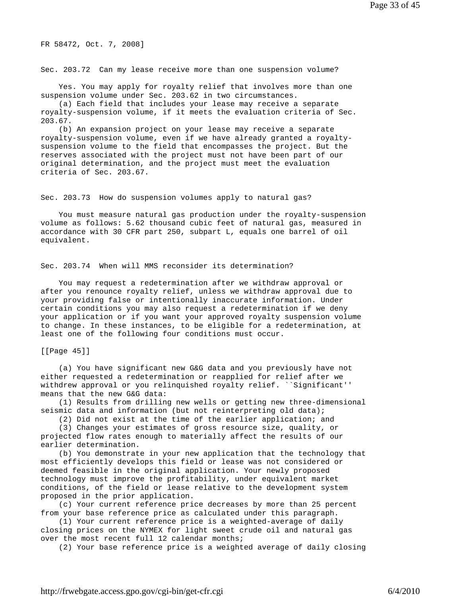FR 58472, Oct. 7, 2008]

Sec. 203.72 Can my lease receive more than one suspension volume?

 Yes. You may apply for royalty relief that involves more than one suspension volume under Sec. 203.62 in two circumstances.

 (a) Each field that includes your lease may receive a separate royalty-suspension volume, if it meets the evaluation criteria of Sec. 203.67.

 (b) An expansion project on your lease may receive a separate royalty-suspension volume, even if we have already granted a royaltysuspension volume to the field that encompasses the project. But the reserves associated with the project must not have been part of our original determination, and the project must meet the evaluation criteria of Sec. 203.67.

Sec. 203.73 How do suspension volumes apply to natural gas?

 You must measure natural gas production under the royalty-suspension volume as follows: 5.62 thousand cubic feet of natural gas, measured in accordance with 30 CFR part 250, subpart L, equals one barrel of oil equivalent.

Sec. 203.74 When will MMS reconsider its determination?

 You may request a redetermination after we withdraw approval or after you renounce royalty relief, unless we withdraw approval due to your providing false or intentionally inaccurate information. Under certain conditions you may also request a redetermination if we deny your application or if you want your approved royalty suspension volume to change. In these instances, to be eligible for a redetermination, at least one of the following four conditions must occur.

[[Page 45]]

 (a) You have significant new G&G data and you previously have not either requested a redetermination or reapplied for relief after we withdrew approval or you relinquished royalty relief. ``Significant'' means that the new G&G data:

 (1) Results from drilling new wells or getting new three-dimensional seismic data and information (but not reinterpreting old data);

(2) Did not exist at the time of the earlier application; and

 (3) Changes your estimates of gross resource size, quality, or projected flow rates enough to materially affect the results of our earlier determination.

 (b) You demonstrate in your new application that the technology that most efficiently develops this field or lease was not considered or deemed feasible in the original application. Your newly proposed technology must improve the profitability, under equivalent market conditions, of the field or lease relative to the development system proposed in the prior application.

 (c) Your current reference price decreases by more than 25 percent from your base reference price as calculated under this paragraph.

 (1) Your current reference price is a weighted-average of daily closing prices on the NYMEX for light sweet crude oil and natural gas over the most recent full 12 calendar months;

(2) Your base reference price is a weighted average of daily closing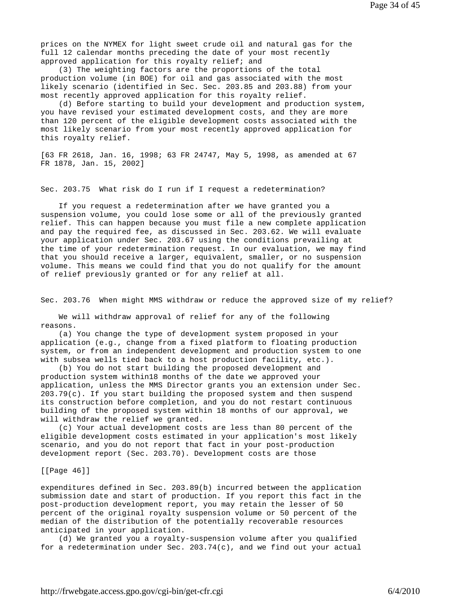prices on the NYMEX for light sweet crude oil and natural gas for the full 12 calendar months preceding the date of your most recently approved application for this royalty relief; and

 (3) The weighting factors are the proportions of the total production volume (in BOE) for oil and gas associated with the most likely scenario (identified in Sec. Sec. 203.85 and 203.88) from your most recently approved application for this royalty relief.

 (d) Before starting to build your development and production system, you have revised your estimated development costs, and they are more than 120 percent of the eligible development costs associated with the most likely scenario from your most recently approved application for this royalty relief.

[63 FR 2618, Jan. 16, 1998; 63 FR 24747, May 5, 1998, as amended at 67 FR 1878, Jan. 15, 2002]

Sec. 203.75 What risk do I run if I request a redetermination?

 If you request a redetermination after we have granted you a suspension volume, you could lose some or all of the previously granted relief. This can happen because you must file a new complete application and pay the required fee, as discussed in Sec. 203.62. We will evaluate your application under Sec. 203.67 using the conditions prevailing at the time of your redetermination request. In our evaluation, we may find that you should receive a larger, equivalent, smaller, or no suspension volume. This means we could find that you do not qualify for the amount of relief previously granted or for any relief at all.

Sec. 203.76 When might MMS withdraw or reduce the approved size of my relief?

 We will withdraw approval of relief for any of the following reasons.

 (a) You change the type of development system proposed in your application (e.g., change from a fixed platform to floating production system, or from an independent development and production system to one with subsea wells tied back to a host production facility, etc.).

 (b) You do not start building the proposed development and production system within18 months of the date we approved your application, unless the MMS Director grants you an extension under Sec. 203.79(c). If you start building the proposed system and then suspend its construction before completion, and you do not restart continuous building of the proposed system within 18 months of our approval, we will withdraw the relief we granted.

 (c) Your actual development costs are less than 80 percent of the eligible development costs estimated in your application's most likely scenario, and you do not report that fact in your post-production development report (Sec. 203.70). Development costs are those

# [[Page 46]]

expenditures defined in Sec. 203.89(b) incurred between the application submission date and start of production. If you report this fact in the post-production development report, you may retain the lesser of 50 percent of the original royalty suspension volume or 50 percent of the median of the distribution of the potentially recoverable resources anticipated in your application.

 (d) We granted you a royalty-suspension volume after you qualified for a redetermination under Sec. 203.74(c), and we find out your actual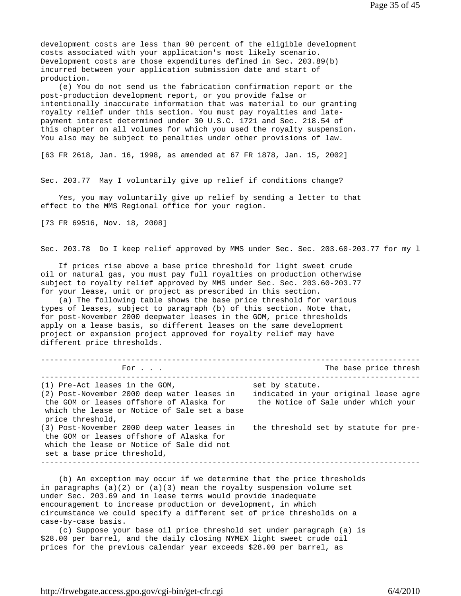development costs are less than 90 percent of the eligible development costs associated with your application's most likely scenario. Development costs are those expenditures defined in Sec. 203.89(b) incurred between your application submission date and start of production.

 (e) You do not send us the fabrication confirmation report or the post-production development report, or you provide false or intentionally inaccurate information that was material to our granting royalty relief under this section. You must pay royalties and latepayment interest determined under 30 U.S.C. 1721 and Sec. 218.54 of this chapter on all volumes for which you used the royalty suspension. You also may be subject to penalties under other provisions of law.

[63 FR 2618, Jan. 16, 1998, as amended at 67 FR 1878, Jan. 15, 2002]

Sec. 203.77 May I voluntarily give up relief if conditions change?

 Yes, you may voluntarily give up relief by sending a letter to that effect to the MMS Regional office for your region.

[73 FR 69516, Nov. 18, 2008]

Sec. 203.78 Do I keep relief approved by MMS under Sec. Sec. 203.60-203.77 for my l

 If prices rise above a base price threshold for light sweet crude oil or natural gas, you must pay full royalties on production otherwise subject to royalty relief approved by MMS under Sec. Sec. 203.60-203.77 for your lease, unit or project as prescribed in this section.

 (a) The following table shows the base price threshold for various types of leases, subject to paragraph (b) of this section. Note that, for post-November 2000 deepwater leases in the GOM, price thresholds apply on a lease basis, so different leases on the same development project or expansion project approved for royalty relief may have different price thresholds.

------------------------------------------------------------------------------------ For . . . The base price thresh ------------------------------------------------------------------------------------  $(1)$  Pre-Act leases in the GOM, (2) Post-November 2000 deep water leases in indicated in your original lease agre the GOM or leases offshore of Alaska for the Notice of Sale under which your which the lease or Notice of Sale set a base price threshold, (3) Post-November 2000 deep water leases in the threshold set by statute for pre the GOM or leases offshore of Alaska for which the lease or Notice of Sale did not set a base price threshold, ------------------------------------------------------------------------------------

 (b) An exception may occur if we determine that the price thresholds in paragraphs  $(a)(2)$  or  $(a)(3)$  mean the royalty suspension volume set under Sec. 203.69 and in lease terms would provide inadequate encouragement to increase production or development, in which circumstance we could specify a different set of price thresholds on a case-by-case basis.

 (c) Suppose your base oil price threshold set under paragraph (a) is \$28.00 per barrel, and the daily closing NYMEX light sweet crude oil prices for the previous calendar year exceeds \$28.00 per barrel, as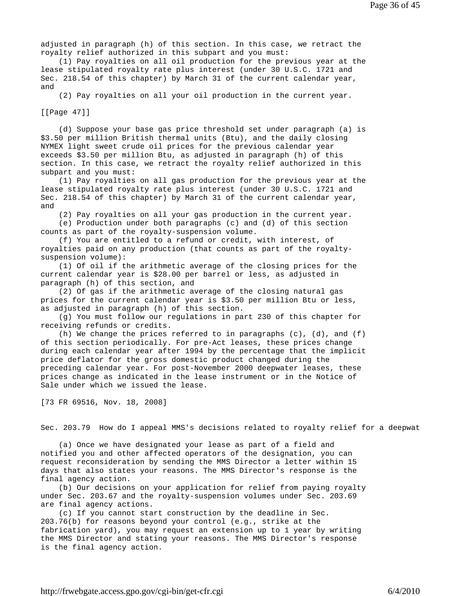adjusted in paragraph (h) of this section. In this case, we retract the royalty relief authorized in this subpart and you must:

 (1) Pay royalties on all oil production for the previous year at the lease stipulated royalty rate plus interest (under 30 U.S.C. 1721 and Sec. 218.54 of this chapter) by March 31 of the current calendar year, and

(2) Pay royalties on all your oil production in the current year.

[[Page 47]]

 (d) Suppose your base gas price threshold set under paragraph (a) is \$3.50 per million British thermal units (Btu), and the daily closing NYMEX light sweet crude oil prices for the previous calendar year exceeds \$3.50 per million Btu, as adjusted in paragraph (h) of this section. In this case, we retract the royalty relief authorized in this subpart and you must:

 (1) Pay royalties on all gas production for the previous year at the lease stipulated royalty rate plus interest (under 30 U.S.C. 1721 and Sec. 218.54 of this chapter) by March 31 of the current calendar year, and

 (2) Pay royalties on all your gas production in the current year. (e) Production under both paragraphs (c) and (d) of this section counts as part of the royalty-suspension volume.

 (f) You are entitled to a refund or credit, with interest, of royalties paid on any production (that counts as part of the royaltysuspension volume):

 (1) Of oil if the arithmetic average of the closing prices for the current calendar year is \$28.00 per barrel or less, as adjusted in paragraph (h) of this section, and

 (2) Of gas if the arithmetic average of the closing natural gas prices for the current calendar year is \$3.50 per million Btu or less, as adjusted in paragraph (h) of this section.

 (g) You must follow our regulations in part 230 of this chapter for receiving refunds or credits.

 (h) We change the prices referred to in paragraphs (c), (d), and (f) of this section periodically. For pre-Act leases, these prices change during each calendar year after 1994 by the percentage that the implicit price deflator for the gross domestic product changed during the preceding calendar year. For post-November 2000 deepwater leases, these prices change as indicated in the lease instrument or in the Notice of Sale under which we issued the lease.

[73 FR 69516, Nov. 18, 2008]

Sec. 203.79 How do I appeal MMS's decisions related to royalty relief for a deepwat

 (a) Once we have designated your lease as part of a field and notified you and other affected operators of the designation, you can request reconsideration by sending the MMS Director a letter within 15 days that also states your reasons. The MMS Director's response is the final agency action.

 (b) Our decisions on your application for relief from paying royalty under Sec. 203.67 and the royalty-suspension volumes under Sec. 203.69 are final agency actions.

 (c) If you cannot start construction by the deadline in Sec. 203.76(b) for reasons beyond your control (e.g., strike at the fabrication yard), you may request an extension up to 1 year by writing the MMS Director and stating your reasons. The MMS Director's response is the final agency action.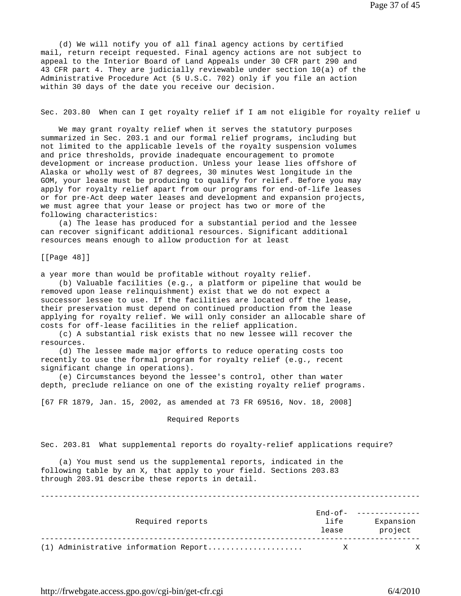(d) We will notify you of all final agency actions by certified mail, return receipt requested. Final agency actions are not subject to appeal to the Interior Board of Land Appeals under 30 CFR part 290 and 43 CFR part 4. They are judicially reviewable under section 10(a) of the Administrative Procedure Act (5 U.S.C. 702) only if you file an action within 30 days of the date you receive our decision.

Sec. 203.80 When can I get royalty relief if I am not eligible for royalty relief u

 We may grant royalty relief when it serves the statutory purposes summarized in Sec. 203.1 and our formal relief programs, including but not limited to the applicable levels of the royalty suspension volumes and price thresholds, provide inadequate encouragement to promote development or increase production. Unless your lease lies offshore of Alaska or wholly west of 87 degrees, 30 minutes West longitude in the GOM, your lease must be producing to qualify for relief. Before you may apply for royalty relief apart from our programs for end-of-life leases or for pre-Act deep water leases and development and expansion projects, we must agree that your lease or project has two or more of the following characteristics:

 (a) The lease has produced for a substantial period and the lessee can recover significant additional resources. Significant additional resources means enough to allow production for at least

[[Page 48]]

a year more than would be profitable without royalty relief.

 (b) Valuable facilities (e.g., a platform or pipeline that would be removed upon lease relinquishment) exist that we do not expect a successor lessee to use. If the facilities are located off the lease, their preservation must depend on continued production from the lease applying for royalty relief. We will only consider an allocable share of costs for off-lease facilities in the relief application.

 (c) A substantial risk exists that no new lessee will recover the resources.

 (d) The lessee made major efforts to reduce operating costs too recently to use the formal program for royalty relief (e.g., recent significant change in operations).

 (e) Circumstances beyond the lessee's control, other than water depth, preclude reliance on one of the existing royalty relief programs.

[67 FR 1879, Jan. 15, 2002, as amended at 73 FR 69516, Nov. 18, 2008]

## Required Reports

Sec. 203.81 What supplemental reports do royalty-relief applications require?

 (a) You must send us the supplemental reports, indicated in the following table by an X, that apply to your field. Sections 203.83 through 203.91 describe these reports in detail.

| Required reports                      | End-of-<br>life<br>lease | Expansion<br>project |
|---------------------------------------|--------------------------|----------------------|
| (1) Administrative information Report | Χ                        | Χ                    |

------------------------------------------------------------------------------------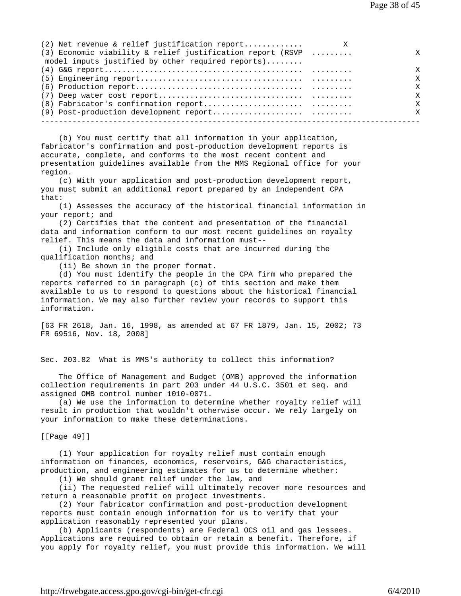| $(2)$ Net revenue & relief justification report              | X |              |
|--------------------------------------------------------------|---|--------------|
| $(3)$ Economic viability & relief justification report (RSVP |   | X            |
| model imputs justified by other required reports)            |   |              |
|                                                              |   | X            |
|                                                              |   | X            |
|                                                              |   | X            |
|                                                              |   | X            |
|                                                              |   | $\mathsf{x}$ |
|                                                              |   | X            |
|                                                              |   |              |

 (b) You must certify that all information in your application, fabricator's confirmation and post-production development reports is accurate, complete, and conforms to the most recent content and presentation guidelines available from the MMS Regional office for your region.

 (c) With your application and post-production development report, you must submit an additional report prepared by an independent CPA  $that:$ 

 (1) Assesses the accuracy of the historical financial information in your report; and

 (2) Certifies that the content and presentation of the financial data and information conform to our most recent guidelines on royalty relief. This means the data and information must--

 (i) Include only eligible costs that are incurred during the qualification months; and

(ii) Be shown in the proper format.

 (d) You must identify the people in the CPA firm who prepared the reports referred to in paragraph (c) of this section and make them available to us to respond to questions about the historical financial information. We may also further review your records to support this information.

[63 FR 2618, Jan. 16, 1998, as amended at 67 FR 1879, Jan. 15, 2002; 73 FR 69516, Nov. 18, 2008]

Sec. 203.82 What is MMS's authority to collect this information?

 The Office of Management and Budget (OMB) approved the information collection requirements in part 203 under 44 U.S.C. 3501 et seq. and assigned OMB control number 1010-0071.

 (a) We use the information to determine whether royalty relief will result in production that wouldn't otherwise occur. We rely largely on your information to make these determinations.

[[Page 49]]

 (1) Your application for royalty relief must contain enough information on finances, economics, reservoirs, G&G characteristics, production, and engineering estimates for us to determine whether: (i) We should grant relief under the law, and

(ii) The requested relief will ultimately recover more resources and

return a reasonable profit on project investments.

 (2) Your fabricator confirmation and post-production development reports must contain enough information for us to verify that your application reasonably represented your plans.

 (b) Applicants (respondents) are Federal OCS oil and gas lessees. Applications are required to obtain or retain a benefit. Therefore, if you apply for royalty relief, you must provide this information. We will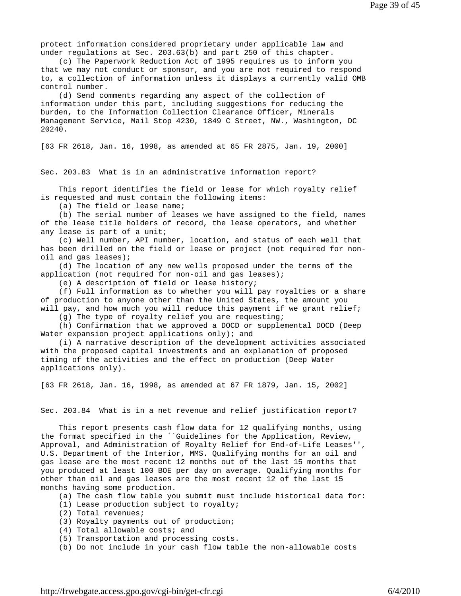protect information considered proprietary under applicable law and under regulations at Sec. 203.63(b) and part 250 of this chapter.

 (c) The Paperwork Reduction Act of 1995 requires us to inform you that we may not conduct or sponsor, and you are not required to respond to, a collection of information unless it displays a currently valid OMB control number.

 (d) Send comments regarding any aspect of the collection of information under this part, including suggestions for reducing the burden, to the Information Collection Clearance Officer, Minerals Management Service, Mail Stop 4230, 1849 C Street, NW., Washington, DC 20240.

[63 FR 2618, Jan. 16, 1998, as amended at 65 FR 2875, Jan. 19, 2000]

Sec. 203.83 What is in an administrative information report?

 This report identifies the field or lease for which royalty relief is requested and must contain the following items:

(a) The field or lease name;

 (b) The serial number of leases we have assigned to the field, names of the lease title holders of record, the lease operators, and whether any lease is part of a unit;

 (c) Well number, API number, location, and status of each well that has been drilled on the field or lease or project (not required for nonoil and gas leases);

 (d) The location of any new wells proposed under the terms of the application (not required for non-oil and gas leases);

(e) A description of field or lease history;

 (f) Full information as to whether you will pay royalties or a share of production to anyone other than the United States, the amount you will pay, and how much you will reduce this payment if we grant relief;

(g) The type of royalty relief you are requesting;

 (h) Confirmation that we approved a DOCD or supplemental DOCD (Deep Water expansion project applications only); and

 (i) A narrative description of the development activities associated with the proposed capital investments and an explanation of proposed timing of the activities and the effect on production (Deep Water applications only).

[63 FR 2618, Jan. 16, 1998, as amended at 67 FR 1879, Jan. 15, 2002]

Sec. 203.84 What is in a net revenue and relief justification report?

 This report presents cash flow data for 12 qualifying months, using the format specified in the ``Guidelines for the Application, Review, Approval, and Administration of Royalty Relief for End-of-Life Leases'', U.S. Department of the Interior, MMS. Qualifying months for an oil and gas lease are the most recent 12 months out of the last 15 months that you produced at least 100 BOE per day on average. Qualifying months for other than oil and gas leases are the most recent 12 of the last 15 months having some production.

(a) The cash flow table you submit must include historical data for:

- (1) Lease production subject to royalty;
- (2) Total revenues;
- (3) Royalty payments out of production;
- (4) Total allowable costs; and
- (5) Transportation and processing costs.
- (b) Do not include in your cash flow table the non-allowable costs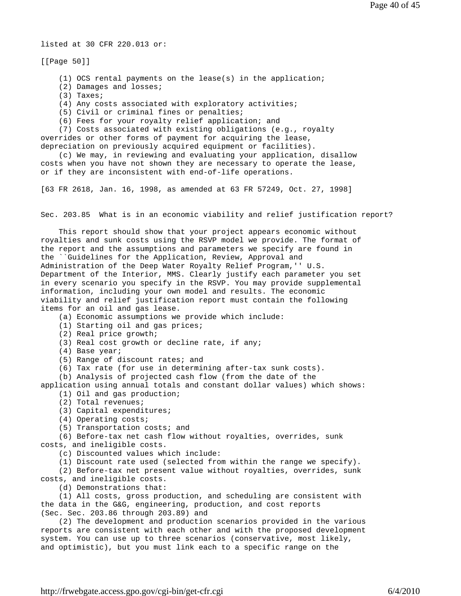listed at 30 CFR 220.013 or:

[[Page 50]]

(1) OCS rental payments on the lease(s) in the application;

- (2) Damages and losses;
- (3) Taxes;

(4) Any costs associated with exploratory activities;

- (5) Civil or criminal fines or penalties;
- (6) Fees for your royalty relief application; and

 (7) Costs associated with existing obligations (e.g., royalty overrides or other forms of payment for acquiring the lease, depreciation on previously acquired equipment or facilities).

 (c) We may, in reviewing and evaluating your application, disallow costs when you have not shown they are necessary to operate the lease, or if they are inconsistent with end-of-life operations.

[63 FR 2618, Jan. 16, 1998, as amended at 63 FR 57249, Oct. 27, 1998]

Sec. 203.85 What is in an economic viability and relief justification report?

 This report should show that your project appears economic without royalties and sunk costs using the RSVP model we provide. The format of the report and the assumptions and parameters we specify are found in the ``Guidelines for the Application, Review, Approval and Administration of the Deep Water Royalty Relief Program,'' U.S. Department of the Interior, MMS. Clearly justify each parameter you set in every scenario you specify in the RSVP. You may provide supplemental information, including your own model and results. The economic viability and relief justification report must contain the following items for an oil and gas lease.

(a) Economic assumptions we provide which include:

(1) Starting oil and gas prices;

(2) Real price growth;

(3) Real cost growth or decline rate, if any;

(4) Base year;

(5) Range of discount rates; and

(6) Tax rate (for use in determining after-tax sunk costs).

(b) Analysis of projected cash flow (from the date of the

application using annual totals and constant dollar values) which shows: (1) Oil and gas production;

- (2) Total revenues;
- (3) Capital expenditures;
- (4) Operating costs;

(5) Transportation costs; and

 (6) Before-tax net cash flow without royalties, overrides, sunk costs, and ineligible costs.

(c) Discounted values which include:

(1) Discount rate used (selected from within the range we specify).

 (2) Before-tax net present value without royalties, overrides, sunk costs, and ineligible costs.

(d) Demonstrations that:

 (1) All costs, gross production, and scheduling are consistent with the data in the G&G, engineering, production, and cost reports (Sec. Sec. 203.86 through 203.89) and

 (2) The development and production scenarios provided in the various reports are consistent with each other and with the proposed development system. You can use up to three scenarios (conservative, most likely, and optimistic), but you must link each to a specific range on the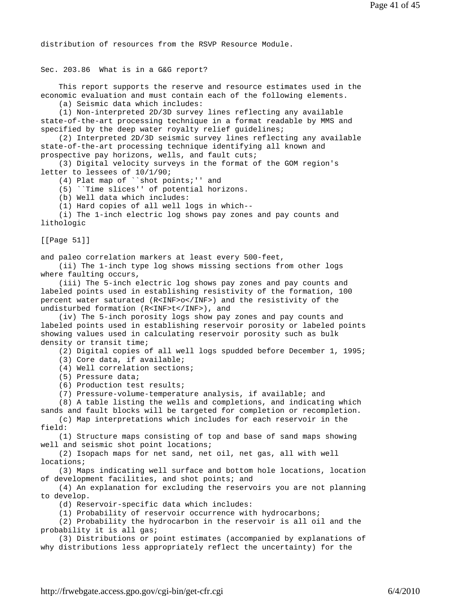distribution of resources from the RSVP Resource Module.

Sec. 203.86 What is in a G&G report?

 This report supports the reserve and resource estimates used in the economic evaluation and must contain each of the following elements.

(a) Seismic data which includes:

 (1) Non-interpreted 2D/3D survey lines reflecting any available state-of-the-art processing technique in a format readable by MMS and specified by the deep water royalty relief guidelines;

 (2) Interpreted 2D/3D seismic survey lines reflecting any available state-of-the-art processing technique identifying all known and prospective pay horizons, wells, and fault cuts;

 (3) Digital velocity surveys in the format of the GOM region's letter to lessees of 10/1/90;

(4) Plat map of ``shot points;'' and

(5) ``Time slices'' of potential horizons.

(b) Well data which includes:

(1) Hard copies of all well logs in which--

 (i) The 1-inch electric log shows pay zones and pay counts and lithologic

[[Page 51]]

and paleo correlation markers at least every 500-feet,

 (ii) The 1-inch type log shows missing sections from other logs where faulting occurs,

 (iii) The 5-inch electric log shows pay zones and pay counts and labeled points used in establishing resistivity of the formation, 100 percent water saturated (R<INF>o</INF>) and the resistivity of the undisturbed formation (R<INF>t</INF>), and

 (iv) The 5-inch porosity logs show pay zones and pay counts and labeled points used in establishing reservoir porosity or labeled points showing values used in calculating reservoir porosity such as bulk density or transit time;

(2) Digital copies of all well logs spudded before December 1, 1995;

(3) Core data, if available;

(4) Well correlation sections;

(5) Pressure data;

(6) Production test results;

(7) Pressure-volume-temperature analysis, if available; and

(8) A table listing the wells and completions, and indicating which

sands and fault blocks will be targeted for completion or recompletion. (c) Map interpretations which includes for each reservoir in the

field:

 (1) Structure maps consisting of top and base of sand maps showing well and seismic shot point locations;

 (2) Isopach maps for net sand, net oil, net gas, all with well locations;

 (3) Maps indicating well surface and bottom hole locations, location of development facilities, and shot points; and

 (4) An explanation for excluding the reservoirs you are not planning to develop.

(d) Reservoir-specific data which includes:

(1) Probability of reservoir occurrence with hydrocarbons;

 (2) Probability the hydrocarbon in the reservoir is all oil and the probability it is all gas;

 (3) Distributions or point estimates (accompanied by explanations of why distributions less appropriately reflect the uncertainty) for the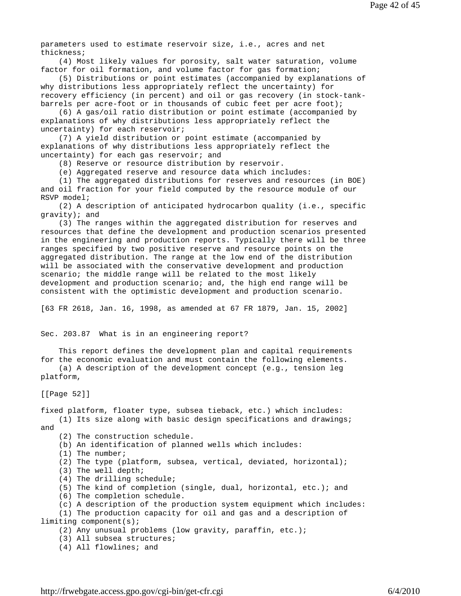parameters used to estimate reservoir size, i.e., acres and net thickness;

 (4) Most likely values for porosity, salt water saturation, volume factor for oil formation, and volume factor for gas formation;

 (5) Distributions or point estimates (accompanied by explanations of why distributions less appropriately reflect the uncertainty) for recovery efficiency (in percent) and oil or gas recovery (in stock-tankbarrels per acre-foot or in thousands of cubic feet per acre foot);

 (6) A gas/oil ratio distribution or point estimate (accompanied by explanations of why distributions less appropriately reflect the uncertainty) for each reservoir;

 (7) A yield distribution or point estimate (accompanied by explanations of why distributions less appropriately reflect the uncertainty) for each gas reservoir; and

(8) Reserve or resource distribution by reservoir.

(e) Aggregated reserve and resource data which includes:

 (1) The aggregated distributions for reserves and resources (in BOE) and oil fraction for your field computed by the resource module of our RSVP model;

 (2) A description of anticipated hydrocarbon quality (i.e., specific gravity); and

 (3) The ranges within the aggregated distribution for reserves and resources that define the development and production scenarios presented in the engineering and production reports. Typically there will be three ranges specified by two positive reserve and resource points on the aggregated distribution. The range at the low end of the distribution will be associated with the conservative development and production scenario; the middle range will be related to the most likely development and production scenario; and, the high end range will be consistent with the optimistic development and production scenario.

[63 FR 2618, Jan. 16, 1998, as amended at 67 FR 1879, Jan. 15, 2002]

Sec. 203.87 What is in an engineering report?

 This report defines the development plan and capital requirements for the economic evaluation and must contain the following elements.

 (a) A description of the development concept (e.g., tension leg platform,

[[Page 52]]

fixed platform, floater type, subsea tieback, etc.) which includes: (1) Its size along with basic design specifications and drawings; and

(2) The construction schedule.

(b) An identification of planned wells which includes:

- (1) The number;
- (2) The type (platform, subsea, vertical, deviated, horizontal);
- (3) The well depth;
- (4) The drilling schedule;
- (5) The kind of completion (single, dual, horizontal, etc.); and
- (6) The completion schedule.
- (c) A description of the production system equipment which includes:

 (1) The production capacity for oil and gas and a description of limiting component(s);

(2) Any unusual problems (low gravity, paraffin, etc.);

(3) All subsea structures;

(4) All flowlines; and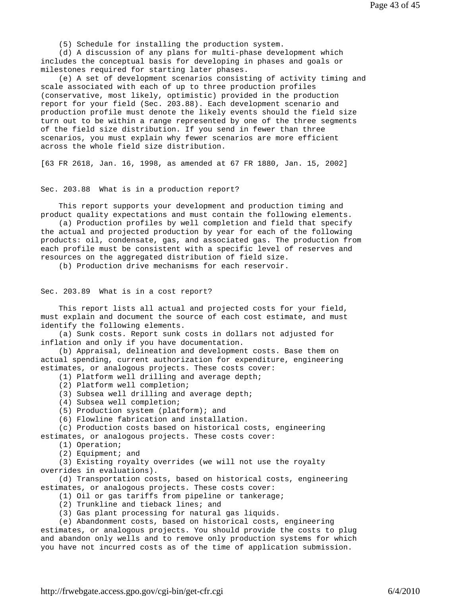(5) Schedule for installing the production system.

 (d) A discussion of any plans for multi-phase development which includes the conceptual basis for developing in phases and goals or milestones required for starting later phases.

 (e) A set of development scenarios consisting of activity timing and scale associated with each of up to three production profiles (conservative, most likely, optimistic) provided in the production report for your field (Sec. 203.88). Each development scenario and production profile must denote the likely events should the field size turn out to be within a range represented by one of the three segments of the field size distribution. If you send in fewer than three scenarios, you must explain why fewer scenarios are more efficient across the whole field size distribution.

[63 FR 2618, Jan. 16, 1998, as amended at 67 FR 1880, Jan. 15, 2002]

## Sec. 203.88 What is in a production report?

 This report supports your development and production timing and product quality expectations and must contain the following elements.

 (a) Production profiles by well completion and field that specify the actual and projected production by year for each of the following products: oil, condensate, gas, and associated gas. The production from each profile must be consistent with a specific level of reserves and resources on the aggregated distribution of field size.

(b) Production drive mechanisms for each reservoir.

### Sec. 203.89 What is in a cost report?

 This report lists all actual and projected costs for your field, must explain and document the source of each cost estimate, and must identify the following elements.

 (a) Sunk costs. Report sunk costs in dollars not adjusted for inflation and only if you have documentation.

 (b) Appraisal, delineation and development costs. Base them on actual spending, current authorization for expenditure, engineering estimates, or analogous projects. These costs cover:

(1) Platform well drilling and average depth;

(2) Platform well completion;

(3) Subsea well drilling and average depth;

(4) Subsea well completion;

(5) Production system (platform); and

(6) Flowline fabrication and installation.

 (c) Production costs based on historical costs, engineering estimates, or analogous projects. These costs cover:

(1) Operation;

(2) Equipment; and

 (3) Existing royalty overrides (we will not use the royalty overrides in evaluations).

 (d) Transportation costs, based on historical costs, engineering estimates, or analogous projects. These costs cover:

(1) Oil or gas tariffs from pipeline or tankerage;

(2) Trunkline and tieback lines; and

(3) Gas plant processing for natural gas liquids.

(e) Abandonment costs, based on historical costs, engineering

estimates, or analogous projects. You should provide the costs to plug and abandon only wells and to remove only production systems for which you have not incurred costs as of the time of application submission.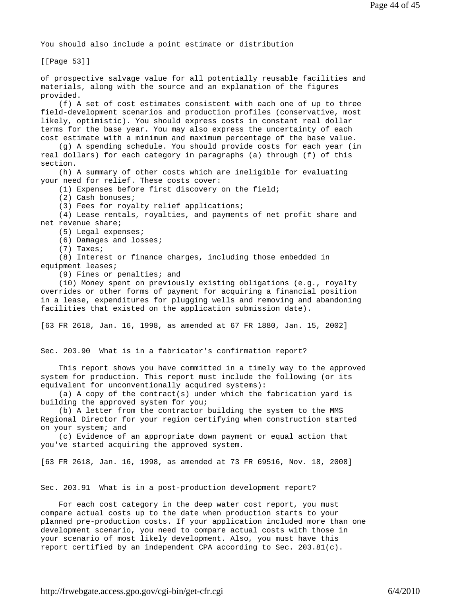You should also include a point estimate or distribution

[[Page 53]]

of prospective salvage value for all potentially reusable facilities and materials, along with the source and an explanation of the figures provided.

 (f) A set of cost estimates consistent with each one of up to three field-development scenarios and production profiles (conservative, most likely, optimistic). You should express costs in constant real dollar terms for the base year. You may also express the uncertainty of each cost estimate with a minimum and maximum percentage of the base value.

 (g) A spending schedule. You should provide costs for each year (in real dollars) for each category in paragraphs (a) through (f) of this section.

 (h) A summary of other costs which are ineligible for evaluating your need for relief. These costs cover:

(1) Expenses before first discovery on the field;

(2) Cash bonuses;

(3) Fees for royalty relief applications;

 (4) Lease rentals, royalties, and payments of net profit share and net revenue share;

(5) Legal expenses;

(6) Damages and losses;

(7) Taxes;

 (8) Interest or finance charges, including those embedded in equipment leases;

(9) Fines or penalties; and

 (10) Money spent on previously existing obligations (e.g., royalty overrides or other forms of payment for acquiring a financial position in a lease, expenditures for plugging wells and removing and abandoning facilities that existed on the application submission date).

[63 FR 2618, Jan. 16, 1998, as amended at 67 FR 1880, Jan. 15, 2002]

Sec. 203.90 What is in a fabricator's confirmation report?

 This report shows you have committed in a timely way to the approved system for production. This report must include the following (or its equivalent for unconventionally acquired systems):

 (a) A copy of the contract(s) under which the fabrication yard is building the approved system for you;

 (b) A letter from the contractor building the system to the MMS Regional Director for your region certifying when construction started on your system; and

 (c) Evidence of an appropriate down payment or equal action that you've started acquiring the approved system.

[63 FR 2618, Jan. 16, 1998, as amended at 73 FR 69516, Nov. 18, 2008]

Sec. 203.91 What is in a post-production development report?

 For each cost category in the deep water cost report, you must compare actual costs up to the date when production starts to your planned pre-production costs. If your application included more than one development scenario, you need to compare actual costs with those in your scenario of most likely development. Also, you must have this report certified by an independent CPA according to Sec. 203.81(c).